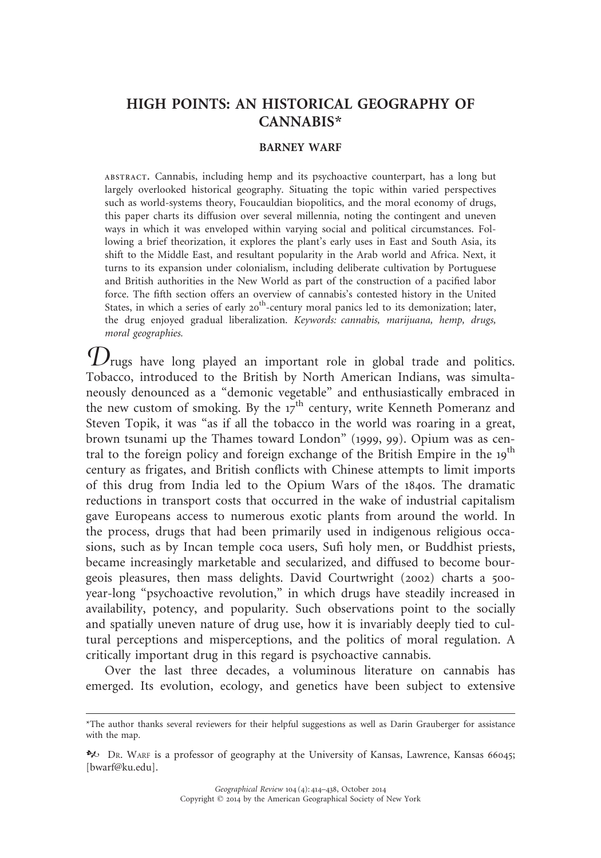# HIGH POINTS: AN HISTORICAL GEOGRAPHY OF CANNABIS\*

### BARNEY WARF

ABSTRACT. Cannabis, including hemp and its psychoactive counterpart, has a long but largely overlooked historical geography. Situating the topic within varied perspectives such as world-systems theory, Foucauldian biopolitics, and the moral economy of drugs, this paper charts its diffusion over several millennia, noting the contingent and uneven ways in which it was enveloped within varying social and political circumstances. Following a brief theorization, it explores the plant's early uses in East and South Asia, its shift to the Middle East, and resultant popularity in the Arab world and Africa. Next, it turns to its expansion under colonialism, including deliberate cultivation by Portuguese and British authorities in the New World as part of the construction of a pacified labor force. The fifth section offers an overview of cannabis's contested history in the United States, in which a series of early 20<sup>th</sup>-century moral panics led to its demonization; later, the drug enjoyed gradual liberalization. Keywords: cannabis, marijuana, hemp, drugs, moral geographies.

 $\mathcal{D}_{\text{rugs}}$  have long played an important role in global trade and politics. Tobacco, introduced to the British by North American Indians, was simultaneously denounced as a "demonic vegetable" and enthusiastically embraced in the new custom of smoking. By the  $17<sup>th</sup>$  century, write Kenneth Pomeranz and Steven Topik, it was "as if all the tobacco in the world was roaring in a great, brown tsunami up the Thames toward London" (1999, 99). Opium was as central to the foreign policy and foreign exchange of the British Empire in the 19<sup>th</sup> century as frigates, and British conflicts with Chinese attempts to limit imports of this drug from India led to the Opium Wars of the 1840s. The dramatic reductions in transport costs that occurred in the wake of industrial capitalism gave Europeans access to numerous exotic plants from around the world. In the process, drugs that had been primarily used in indigenous religious occasions, such as by Incan temple coca users, Sufi holy men, or Buddhist priests, became increasingly marketable and secularized, and diffused to become bourgeois pleasures, then mass delights. David Courtwright (2002) charts a 500 year-long "psychoactive revolution," in which drugs have steadily increased in availability, potency, and popularity. Such observations point to the socially and spatially uneven nature of drug use, how it is invariably deeply tied to cultural perceptions and misperceptions, and the politics of moral regulation. A critically important drug in this regard is psychoactive cannabis.

Over the last three decades, a voluminous literature on cannabis has emerged. Its evolution, ecology, and genetics have been subject to extensive

<sup>\*</sup>The author thanks several reviewers for their helpful suggestions as well as Darin Grauberger for assistance with the map.

k DR. WARF is a professor of geography at the University of Kansas, Lawrence, Kansas 66045; [bwarf@ku.edu].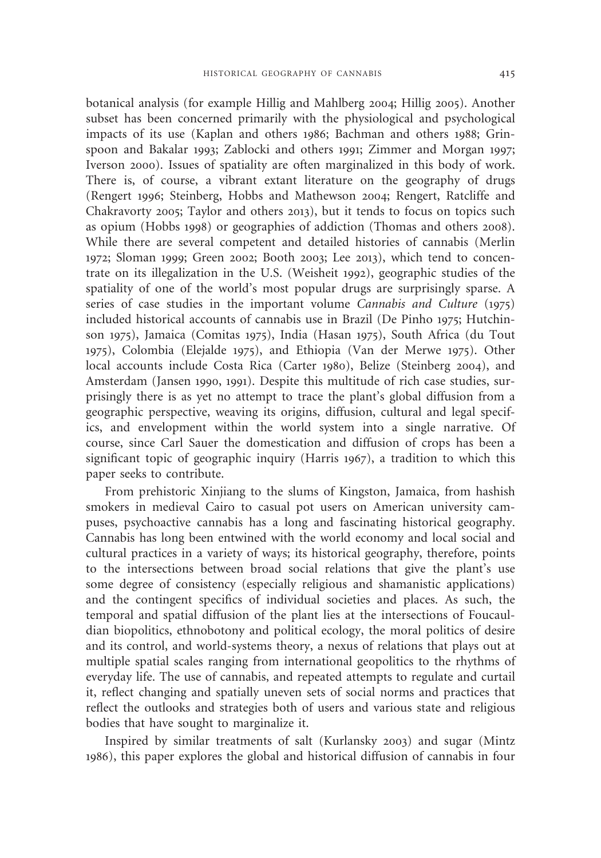botanical analysis (for example Hillig and Mahlberg 2004; Hillig 2005). Another subset has been concerned primarily with the physiological and psychological impacts of its use (Kaplan and others 1986; Bachman and others 1988; Grinspoon and Bakalar 1993; Zablocki and others 1991; Zimmer and Morgan 1997; Iverson 2000). Issues of spatiality are often marginalized in this body of work. There is, of course, a vibrant extant literature on the geography of drugs (Rengert 1996; Steinberg, Hobbs and Mathewson 2004; Rengert, Ratcliffe and Chakravorty 2005; Taylor and others 2013), but it tends to focus on topics such as opium (Hobbs 1998) or geographies of addiction (Thomas and others 2008). While there are several competent and detailed histories of cannabis (Merlin 1972; Sloman 1999; Green 2002; Booth 2003; Lee 2013), which tend to concentrate on its illegalization in the U.S. (Weisheit 1992), geographic studies of the spatiality of one of the world's most popular drugs are surprisingly sparse. A series of case studies in the important volume Cannabis and Culture (1975) included historical accounts of cannabis use in Brazil (De Pinho 1975; Hutchinson 1975), Jamaica (Comitas 1975), India (Hasan 1975), South Africa (du Tout 1975), Colombia (Elejalde 1975), and Ethiopia (Van der Merwe 1975). Other local accounts include Costa Rica (Carter 1980), Belize (Steinberg 2004), and Amsterdam (Jansen 1990, 1991). Despite this multitude of rich case studies, surprisingly there is as yet no attempt to trace the plant's global diffusion from a geographic perspective, weaving its origins, diffusion, cultural and legal specifics, and envelopment within the world system into a single narrative. Of course, since Carl Sauer the domestication and diffusion of crops has been a significant topic of geographic inquiry (Harris 1967), a tradition to which this paper seeks to contribute.

From prehistoric Xinjiang to the slums of Kingston, Jamaica, from hashish smokers in medieval Cairo to casual pot users on American university campuses, psychoactive cannabis has a long and fascinating historical geography. Cannabis has long been entwined with the world economy and local social and cultural practices in a variety of ways; its historical geography, therefore, points to the intersections between broad social relations that give the plant's use some degree of consistency (especially religious and shamanistic applications) and the contingent specifics of individual societies and places. As such, the temporal and spatial diffusion of the plant lies at the intersections of Foucauldian biopolitics, ethnobotony and political ecology, the moral politics of desire and its control, and world-systems theory, a nexus of relations that plays out at multiple spatial scales ranging from international geopolitics to the rhythms of everyday life. The use of cannabis, and repeated attempts to regulate and curtail it, reflect changing and spatially uneven sets of social norms and practices that reflect the outlooks and strategies both of users and various state and religious bodies that have sought to marginalize it.

Inspired by similar treatments of salt (Kurlansky 2003) and sugar (Mintz 1986), this paper explores the global and historical diffusion of cannabis in four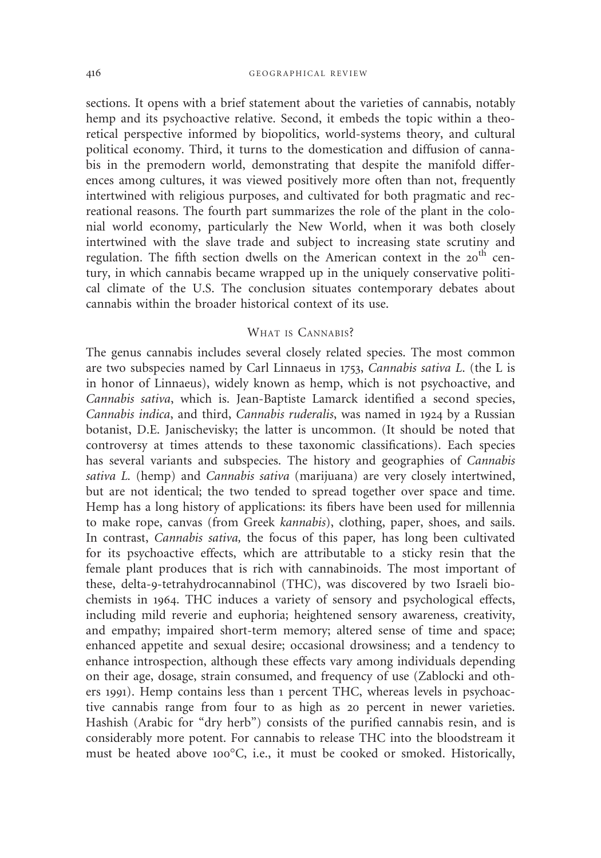sections. It opens with a brief statement about the varieties of cannabis, notably hemp and its psychoactive relative. Second, it embeds the topic within a theoretical perspective informed by biopolitics, world-systems theory, and cultural political economy. Third, it turns to the domestication and diffusion of cannabis in the premodern world, demonstrating that despite the manifold differences among cultures, it was viewed positively more often than not, frequently intertwined with religious purposes, and cultivated for both pragmatic and recreational reasons. The fourth part summarizes the role of the plant in the colonial world economy, particularly the New World, when it was both closely intertwined with the slave trade and subject to increasing state scrutiny and regulation. The fifth section dwells on the American context in the  $20^{th}$  century, in which cannabis became wrapped up in the uniquely conservative political climate of the U.S. The conclusion situates contemporary debates about cannabis within the broader historical context of its use.

# WHAT IS CANNABIS?

The genus cannabis includes several closely related species. The most common are two subspecies named by Carl Linnaeus in 1753, Cannabis sativa L. (the L is in honor of Linnaeus), widely known as hemp, which is not psychoactive, and Cannabis sativa, which is. Jean-Baptiste Lamarck identified a second species, Cannabis indica, and third, Cannabis ruderalis, was named in 1924 by a Russian botanist, D.E. Janischevisky; the latter is uncommon. (It should be noted that controversy at times attends to these taxonomic classifications). Each species has several variants and subspecies. The history and geographies of Cannabis sativa L. (hemp) and Cannabis sativa (marijuana) are very closely intertwined, but are not identical; the two tended to spread together over space and time. Hemp has a long history of applications: its fibers have been used for millennia to make rope, canvas (from Greek kannabis), clothing, paper, shoes, and sails. In contrast, Cannabis sativa, the focus of this paper, has long been cultivated for its psychoactive effects, which are attributable to a sticky resin that the female plant produces that is rich with cannabinoids. The most important of these, delta-9-tetrahydrocannabinol (THC), was discovered by two Israeli biochemists in 1964. THC induces a variety of sensory and psychological effects, including mild reverie and euphoria; heightened sensory awareness, creativity, and empathy; impaired short-term memory; altered sense of time and space; enhanced appetite and sexual desire; occasional drowsiness; and a tendency to enhance introspection, although these effects vary among individuals depending on their age, dosage, strain consumed, and frequency of use (Zablocki and others 1991). Hemp contains less than 1 percent THC, whereas levels in psychoactive cannabis range from four to as high as 20 percent in newer varieties. Hashish (Arabic for "dry herb") consists of the purified cannabis resin, and is considerably more potent. For cannabis to release THC into the bloodstream it must be heated above 100°C, i.e., it must be cooked or smoked. Historically,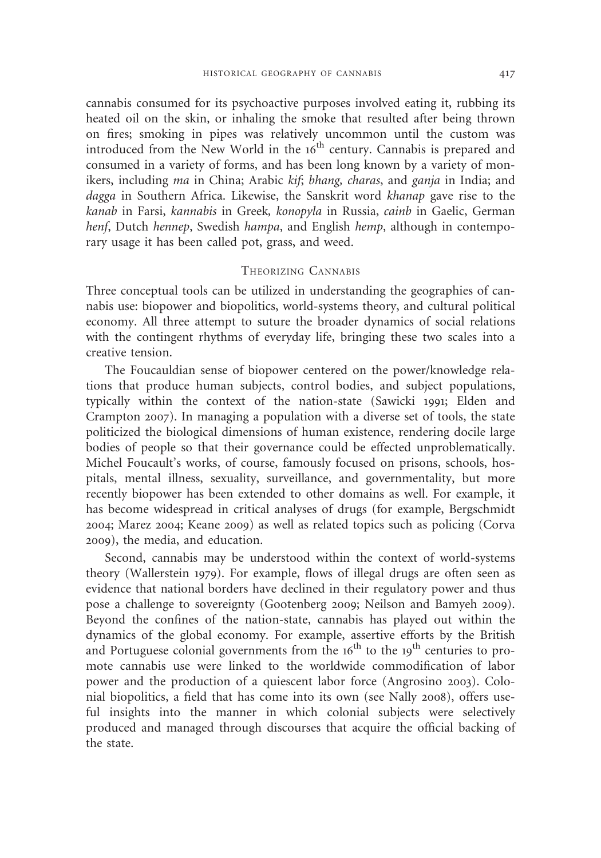cannabis consumed for its psychoactive purposes involved eating it, rubbing its heated oil on the skin, or inhaling the smoke that resulted after being thrown on fires; smoking in pipes was relatively uncommon until the custom was introduced from the New World in the 16<sup>th</sup> century. Cannabis is prepared and consumed in a variety of forms, and has been long known by a variety of monikers, including ma in China; Arabic kif; bhang, charas, and ganja in India; and dagga in Southern Africa. Likewise, the Sanskrit word khanap gave rise to the kanab in Farsi, kannabis in Greek, konopyla in Russia, cainb in Gaelic, German henf, Dutch hennep, Swedish hampa, and English hemp, although in contemporary usage it has been called pot, grass, and weed.

# THEORIZING CANNABIS

Three conceptual tools can be utilized in understanding the geographies of cannabis use: biopower and biopolitics, world-systems theory, and cultural political economy. All three attempt to suture the broader dynamics of social relations with the contingent rhythms of everyday life, bringing these two scales into a creative tension.

The Foucauldian sense of biopower centered on the power/knowledge relations that produce human subjects, control bodies, and subject populations, typically within the context of the nation-state (Sawicki 1991; Elden and Crampton 2007). In managing a population with a diverse set of tools, the state politicized the biological dimensions of human existence, rendering docile large bodies of people so that their governance could be effected unproblematically. Michel Foucault's works, of course, famously focused on prisons, schools, hospitals, mental illness, sexuality, surveillance, and governmentality, but more recently biopower has been extended to other domains as well. For example, it has become widespread in critical analyses of drugs (for example, Bergschmidt 2004; Marez 2004; Keane 2009) as well as related topics such as policing (Corva 2009), the media, and education.

Second, cannabis may be understood within the context of world-systems theory (Wallerstein 1979). For example, flows of illegal drugs are often seen as evidence that national borders have declined in their regulatory power and thus pose a challenge to sovereignty (Gootenberg 2009; Neilson and Bamyeh 2009). Beyond the confines of the nation-state, cannabis has played out within the dynamics of the global economy. For example, assertive efforts by the British and Portuguese colonial governments from the  $16<sup>th</sup>$  to the  $19<sup>th</sup>$  centuries to promote cannabis use were linked to the worldwide commodification of labor power and the production of a quiescent labor force (Angrosino 2003). Colonial biopolitics, a field that has come into its own (see Nally 2008), offers useful insights into the manner in which colonial subjects were selectively produced and managed through discourses that acquire the official backing of the state.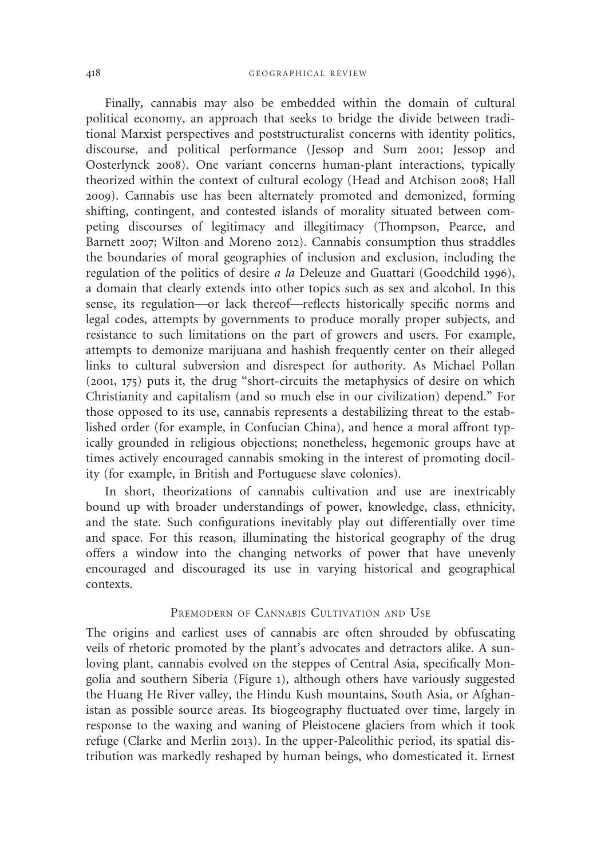Finally, cannabis may also be embedded within the domain of cultural political economy, an approach that seeks to bridge the divide between traditional Marxist perspectives and poststructuralist concerns with identity politics, discourse, and political performance (Jessop and Sum 2001; Jessop and Oosterlynck 2008). One variant concerns human-plant interactions, typically theorized within the context of cultural ecology (Head and Atchison 2008; Hall 2009). Cannabis use has been alternately promoted and demonized, forming shifting, contingent, and contested islands of morality situated between competing discourses of legitimacy and illegitimacy (Thompson, Pearce, and Barnett 2007; Wilton and Moreno 2012). Cannabis consumption thus straddles the boundaries of moral geographies of inclusion and exclusion, including the regulation of the politics of desire a la Deleuze and Guattari (Goodchild 1996), a domain that clearly extends into other topics such as sex and alcohol. In this sense, its regulation—or lack thereof—reflects historically specific norms and legal codes, attempts by governments to produce morally proper subjects, and resistance to such limitations on the part of growers and users. For example, attempts to demonize marijuana and hashish frequently center on their alleged links to cultural subversion and disrespect for authority. As Michael Pollan (2001, 175) puts it, the drug "short-circuits the metaphysics of desire on which Christianity and capitalism (and so much else in our civilization) depend." For those opposed to its use, cannabis represents a destabilizing threat to the established order (for example, in Confucian China), and hence a moral affront typically grounded in religious objections; nonetheless, hegemonic groups have at times actively encouraged cannabis smoking in the interest of promoting docility (for example, in British and Portuguese slave colonies).

In short, theorizations of cannabis cultivation and use are inextricably bound up with broader understandings of power, knowledge, class, ethnicity, and the state. Such configurations inevitably play out differentially over time and space. For this reason, illuminating the historical geography of the drug offers a window into the changing networks of power that have unevenly encouraged and discouraged its use in varying historical and geographical contexts.

### PREMODERN OF CANNABIS CULTIVATION AND USE

The origins and earliest uses of cannabis are often shrouded by obfuscating veils of rhetoric promoted by the plant's advocates and detractors alike. A sunloving plant, cannabis evolved on the steppes of Central Asia, specifically Mongolia and southern Siberia (Figure 1), although others have variously suggested the Huang He River valley, the Hindu Kush mountains, South Asia, or Afghanistan as possible source areas. Its biogeography fluctuated over time, largely in response to the waxing and waning of Pleistocene glaciers from which it took refuge (Clarke and Merlin 2013). In the upper-Paleolithic period, its spatial distribution was markedly reshaped by human beings, who domesticated it. Ernest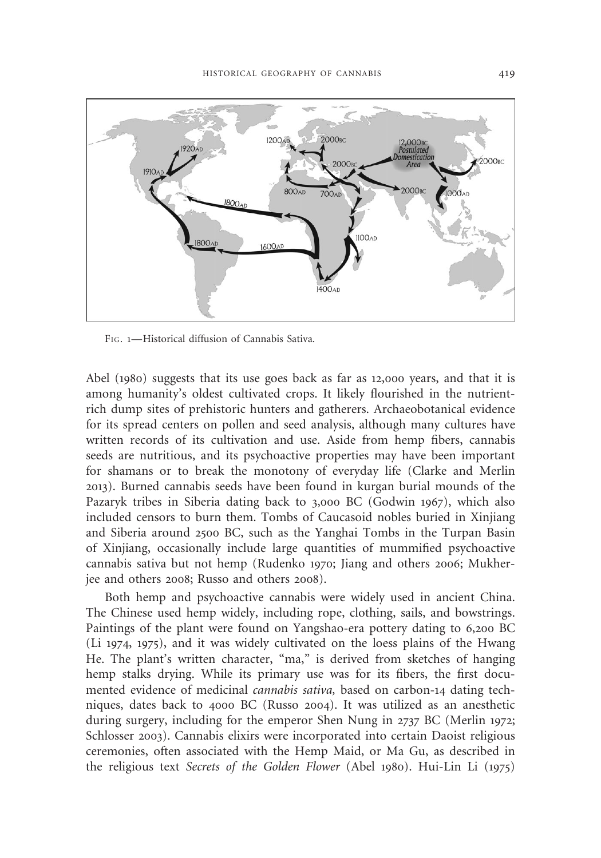

FIG. 1—Historical diffusion of Cannabis Sativa.

Abel (1980) suggests that its use goes back as far as 12,000 years, and that it is among humanity's oldest cultivated crops. It likely flourished in the nutrientrich dump sites of prehistoric hunters and gatherers. Archaeobotanical evidence for its spread centers on pollen and seed analysis, although many cultures have written records of its cultivation and use. Aside from hemp fibers, cannabis seeds are nutritious, and its psychoactive properties may have been important for shamans or to break the monotony of everyday life (Clarke and Merlin 2013). Burned cannabis seeds have been found in kurgan burial mounds of the Pazaryk tribes in Siberia dating back to 3,000 BC (Godwin 1967), which also included censors to burn them. Tombs of Caucasoid nobles buried in Xinjiang and Siberia around 2500 BC, such as the Yanghai Tombs in the Turpan Basin of Xinjiang, occasionally include large quantities of mummified psychoactive cannabis sativa but not hemp (Rudenko 1970; Jiang and others 2006; Mukherjee and others 2008; Russo and others 2008).

Both hemp and psychoactive cannabis were widely used in ancient China. The Chinese used hemp widely, including rope, clothing, sails, and bowstrings. Paintings of the plant were found on Yangshao-era pottery dating to 6,200 BC (Li 1974, 1975), and it was widely cultivated on the loess plains of the Hwang He. The plant's written character, "ma," is derived from sketches of hanging hemp stalks drying. While its primary use was for its fibers, the first documented evidence of medicinal cannabis sativa, based on carbon-14 dating techniques, dates back to 4000 BC (Russo 2004). It was utilized as an anesthetic during surgery, including for the emperor Shen Nung in 2737 BC (Merlin 1972; Schlosser 2003). Cannabis elixirs were incorporated into certain Daoist religious ceremonies, often associated with the Hemp Maid, or Ma Gu, as described in the religious text Secrets of the Golden Flower (Abel 1980). Hui-Lin Li (1975)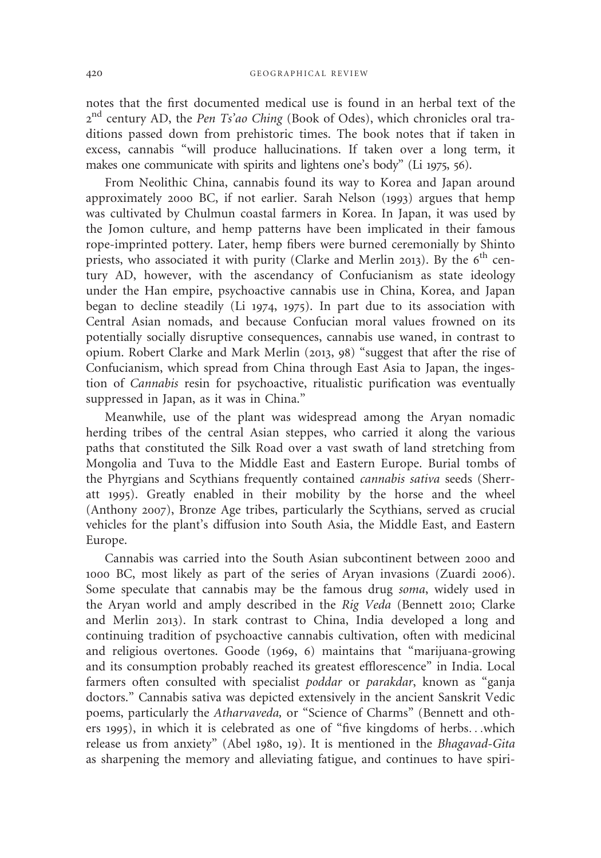notes that the first documented medical use is found in an herbal text of the 2<sup>nd</sup> century AD, the Pen Ts'ao Ching (Book of Odes), which chronicles oral traditions passed down from prehistoric times. The book notes that if taken in excess, cannabis "will produce hallucinations. If taken over a long term, it makes one communicate with spirits and lightens one's body" (Li 1975, 56).

From Neolithic China, cannabis found its way to Korea and Japan around approximately 2000 BC, if not earlier. Sarah Nelson (1993) argues that hemp was cultivated by Chulmun coastal farmers in Korea. In Japan, it was used by the Jomon culture, and hemp patterns have been implicated in their famous rope-imprinted pottery. Later, hemp fibers were burned ceremonially by Shinto priests, who associated it with purity (Clarke and Merlin 2013). By the  $6<sup>th</sup>$  century AD, however, with the ascendancy of Confucianism as state ideology under the Han empire, psychoactive cannabis use in China, Korea, and Japan began to decline steadily (Li 1974, 1975). In part due to its association with Central Asian nomads, and because Confucian moral values frowned on its potentially socially disruptive consequences, cannabis use waned, in contrast to opium. Robert Clarke and Mark Merlin (2013, 98) "suggest that after the rise of Confucianism, which spread from China through East Asia to Japan, the ingestion of Cannabis resin for psychoactive, ritualistic purification was eventually suppressed in Japan, as it was in China."

Meanwhile, use of the plant was widespread among the Aryan nomadic herding tribes of the central Asian steppes, who carried it along the various paths that constituted the Silk Road over a vast swath of land stretching from Mongolia and Tuva to the Middle East and Eastern Europe. Burial tombs of the Phyrgians and Scythians frequently contained cannabis sativa seeds (Sherratt 1995). Greatly enabled in their mobility by the horse and the wheel (Anthony 2007), Bronze Age tribes, particularly the Scythians, served as crucial vehicles for the plant's diffusion into South Asia, the Middle East, and Eastern Europe.

Cannabis was carried into the South Asian subcontinent between 2000 and 1000 BC, most likely as part of the series of Aryan invasions (Zuardi 2006). Some speculate that cannabis may be the famous drug soma, widely used in the Aryan world and amply described in the Rig Veda (Bennett 2010; Clarke and Merlin 2013). In stark contrast to China, India developed a long and continuing tradition of psychoactive cannabis cultivation, often with medicinal and religious overtones. Goode (1969, 6) maintains that "marijuana-growing and its consumption probably reached its greatest efflorescence" in India. Local farmers often consulted with specialist *poddar* or *parakdar*, known as "ganja doctors." Cannabis sativa was depicted extensively in the ancient Sanskrit Vedic poems, particularly the Atharvaveda, or "Science of Charms" (Bennett and others 1995), in which it is celebrated as one of "five kingdoms of herbs...which release us from anxiety" (Abel 1980, 19). It is mentioned in the Bhagavad-Gita as sharpening the memory and alleviating fatigue, and continues to have spiri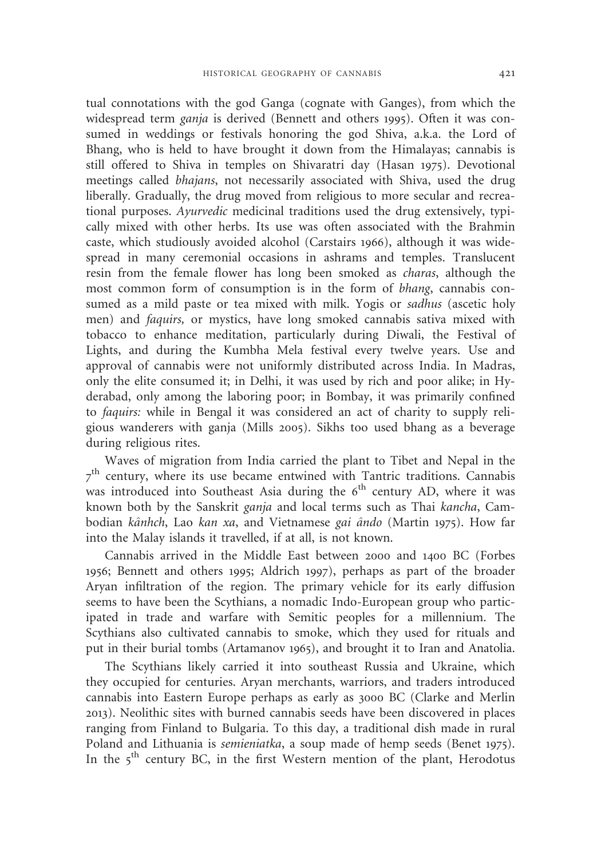tual connotations with the god Ganga (cognate with Ganges), from which the widespread term ganja is derived (Bennett and others 1995). Often it was consumed in weddings or festivals honoring the god Shiva, a.k.a. the Lord of Bhang, who is held to have brought it down from the Himalayas; cannabis is still offered to Shiva in temples on Shivaratri day (Hasan 1975). Devotional meetings called bhajans, not necessarily associated with Shiva, used the drug liberally. Gradually, the drug moved from religious to more secular and recreational purposes. Ayurvedic medicinal traditions used the drug extensively, typically mixed with other herbs. Its use was often associated with the Brahmin caste, which studiously avoided alcohol (Carstairs 1966), although it was widespread in many ceremonial occasions in ashrams and temples. Translucent resin from the female flower has long been smoked as charas, although the most common form of consumption is in the form of bhang, cannabis consumed as a mild paste or tea mixed with milk. Yogis or sadhus (ascetic holy men) and faquirs, or mystics, have long smoked cannabis sativa mixed with tobacco to enhance meditation, particularly during Diwali, the Festival of Lights, and during the Kumbha Mela festival every twelve years. Use and approval of cannabis were not uniformly distributed across India. In Madras, only the elite consumed it; in Delhi, it was used by rich and poor alike; in Hyderabad, only among the laboring poor; in Bombay, it was primarily confined to faquirs: while in Bengal it was considered an act of charity to supply religious wanderers with ganja (Mills 2005). Sikhs too used bhang as a beverage during religious rites.

Waves of migration from India carried the plant to Tibet and Nepal in the 7<sup>th</sup> century, where its use became entwined with Tantric traditions. Cannabis was introduced into Southeast Asia during the  $6<sup>th</sup>$  century AD, where it was known both by the Sanskrit ganja and local terms such as Thai kancha, Cambodian kânhch, Lao kan xa, and Vietnamese gai ândo (Martin 1975). How far into the Malay islands it travelled, if at all, is not known.

Cannabis arrived in the Middle East between 2000 and 1400 BC (Forbes 1956; Bennett and others 1995; Aldrich 1997), perhaps as part of the broader Aryan infiltration of the region. The primary vehicle for its early diffusion seems to have been the Scythians, a nomadic Indo-European group who participated in trade and warfare with Semitic peoples for a millennium. The Scythians also cultivated cannabis to smoke, which they used for rituals and put in their burial tombs (Artamanov 1965), and brought it to Iran and Anatolia.

The Scythians likely carried it into southeast Russia and Ukraine, which they occupied for centuries. Aryan merchants, warriors, and traders introduced cannabis into Eastern Europe perhaps as early as 3000 BC (Clarke and Merlin 2013). Neolithic sites with burned cannabis seeds have been discovered in places ranging from Finland to Bulgaria. To this day, a traditional dish made in rural Poland and Lithuania is *semieniatka*, a soup made of hemp seeds (Benet 1975). In the 5<sup>th</sup> century BC, in the first Western mention of the plant, Herodotus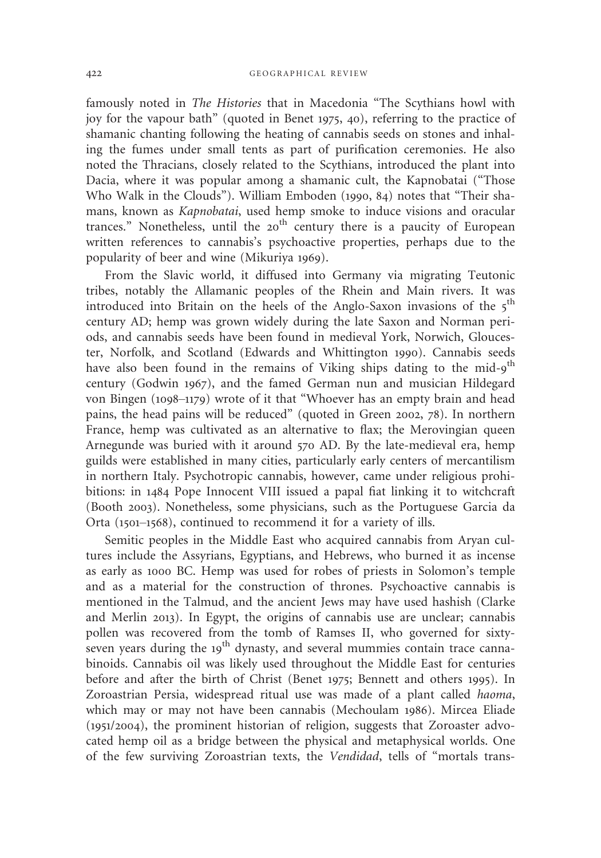#### 422 GEOGRAPHICAL REVIEW

famously noted in The Histories that in Macedonia "The Scythians howl with joy for the vapour bath" (quoted in Benet 1975, 40), referring to the practice of shamanic chanting following the heating of cannabis seeds on stones and inhaling the fumes under small tents as part of purification ceremonies. He also noted the Thracians, closely related to the Scythians, introduced the plant into Dacia, where it was popular among a shamanic cult, the Kapnobatai ("Those Who Walk in the Clouds"). William Emboden (1990, 84) notes that "Their shamans, known as Kapnobatai, used hemp smoke to induce visions and oracular trances." Nonetheless, until the  $20<sup>th</sup>$  century there is a paucity of European written references to cannabis's psychoactive properties, perhaps due to the popularity of beer and wine (Mikuriya 1969).

From the Slavic world, it diffused into Germany via migrating Teutonic tribes, notably the Allamanic peoples of the Rhein and Main rivers. It was introduced into Britain on the heels of the Anglo-Saxon invasions of the  $5<sup>th</sup>$ century AD; hemp was grown widely during the late Saxon and Norman periods, and cannabis seeds have been found in medieval York, Norwich, Gloucester, Norfolk, and Scotland (Edwards and Whittington 1990). Cannabis seeds have also been found in the remains of Viking ships dating to the mid-9<sup>th</sup> century (Godwin 1967), and the famed German nun and musician Hildegard von Bingen (1098–1179) wrote of it that "Whoever has an empty brain and head pains, the head pains will be reduced" (quoted in Green 2002, 78). In northern France, hemp was cultivated as an alternative to flax; the Merovingian queen Arnegunde was buried with it around 570 AD. By the late-medieval era, hemp guilds were established in many cities, particularly early centers of mercantilism in northern Italy. Psychotropic cannabis, however, came under religious prohibitions: in 1484 Pope Innocent VIII issued a papal fiat linking it to witchcraft (Booth 2003). Nonetheless, some physicians, such as the Portuguese Garcia da Orta (1501–1568), continued to recommend it for a variety of ills.

Semitic peoples in the Middle East who acquired cannabis from Aryan cultures include the Assyrians, Egyptians, and Hebrews, who burned it as incense as early as 1000 BC. Hemp was used for robes of priests in Solomon's temple and as a material for the construction of thrones. Psychoactive cannabis is mentioned in the Talmud, and the ancient Jews may have used hashish (Clarke and Merlin 2013). In Egypt, the origins of cannabis use are unclear; cannabis pollen was recovered from the tomb of Ramses II, who governed for sixtyseven years during the  $19<sup>th</sup>$  dynasty, and several mummies contain trace cannabinoids. Cannabis oil was likely used throughout the Middle East for centuries before and after the birth of Christ (Benet 1975; Bennett and others 1995). In Zoroastrian Persia, widespread ritual use was made of a plant called haoma, which may or may not have been cannabis (Mechoulam 1986). Mircea Eliade (1951/2004), the prominent historian of religion, suggests that Zoroaster advocated hemp oil as a bridge between the physical and metaphysical worlds. One of the few surviving Zoroastrian texts, the Vendidad, tells of "mortals trans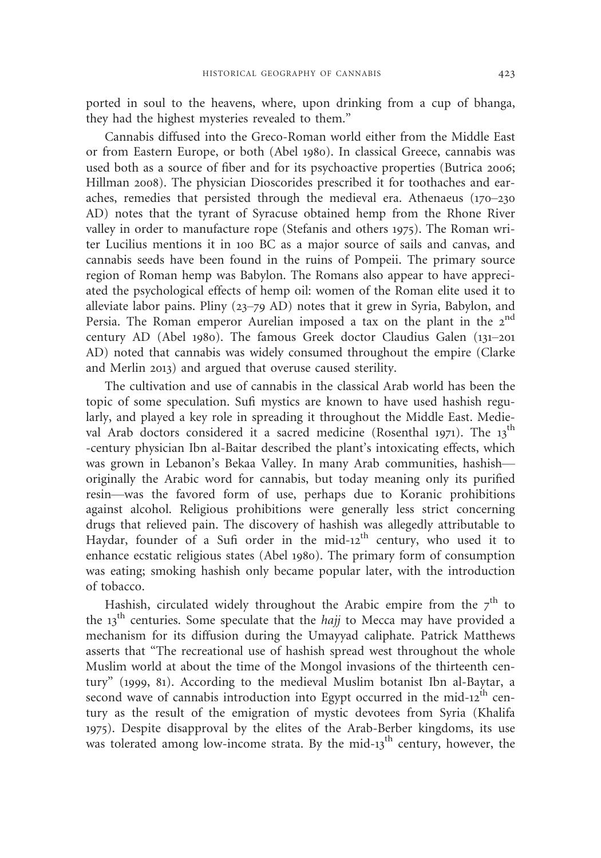ported in soul to the heavens, where, upon drinking from a cup of bhanga, they had the highest mysteries revealed to them."

Cannabis diffused into the Greco-Roman world either from the Middle East or from Eastern Europe, or both (Abel 1980). In classical Greece, cannabis was used both as a source of fiber and for its psychoactive properties (Butrica 2006; Hillman 2008). The physician Dioscorides prescribed it for toothaches and earaches, remedies that persisted through the medieval era. Athenaeus (170–230 AD) notes that the tyrant of Syracuse obtained hemp from the Rhone River valley in order to manufacture rope (Stefanis and others 1975). The Roman writer Lucilius mentions it in 100 BC as a major source of sails and canvas, and cannabis seeds have been found in the ruins of Pompeii. The primary source region of Roman hemp was Babylon. The Romans also appear to have appreciated the psychological effects of hemp oil: women of the Roman elite used it to alleviate labor pains. Pliny (23–79 AD) notes that it grew in Syria, Babylon, and Persia. The Roman emperor Aurelian imposed a tax on the plant in the 2<sup>nd</sup> century AD (Abel 1980). The famous Greek doctor Claudius Galen (131–201 AD) noted that cannabis was widely consumed throughout the empire (Clarke and Merlin 2013) and argued that overuse caused sterility.

The cultivation and use of cannabis in the classical Arab world has been the topic of some speculation. Sufi mystics are known to have used hashish regularly, and played a key role in spreading it throughout the Middle East. Medieval Arab doctors considered it a sacred medicine (Rosenthal 1971). The 13<sup>th</sup> -century physician Ibn al-Baitar described the plant's intoxicating effects, which was grown in Lebanon's Bekaa Valley. In many Arab communities, hashish originally the Arabic word for cannabis, but today meaning only its purified resin—was the favored form of use, perhaps due to Koranic prohibitions against alcohol. Religious prohibitions were generally less strict concerning drugs that relieved pain. The discovery of hashish was allegedly attributable to Haydar, founder of a Sufi order in the mid- $12<sup>th</sup>$  century, who used it to enhance ecstatic religious states (Abel 1980). The primary form of consumption was eating; smoking hashish only became popular later, with the introduction of tobacco.

Hashish, circulated widely throughout the Arabic empire from the  $7^{\text{th}}$  to the 13<sup>th</sup> centuries. Some speculate that the *hajj* to Mecca may have provided a mechanism for its diffusion during the Umayyad caliphate. Patrick Matthews asserts that "The recreational use of hashish spread west throughout the whole Muslim world at about the time of the Mongol invasions of the thirteenth century" (1999, 81). According to the medieval Muslim botanist Ibn al-Baytar, a second wave of cannabis introduction into Egypt occurred in the mid-12<sup>th</sup> century as the result of the emigration of mystic devotees from Syria (Khalifa 1975). Despite disapproval by the elites of the Arab-Berber kingdoms, its use was tolerated among low-income strata. By the mid-13<sup>th</sup> century, however, the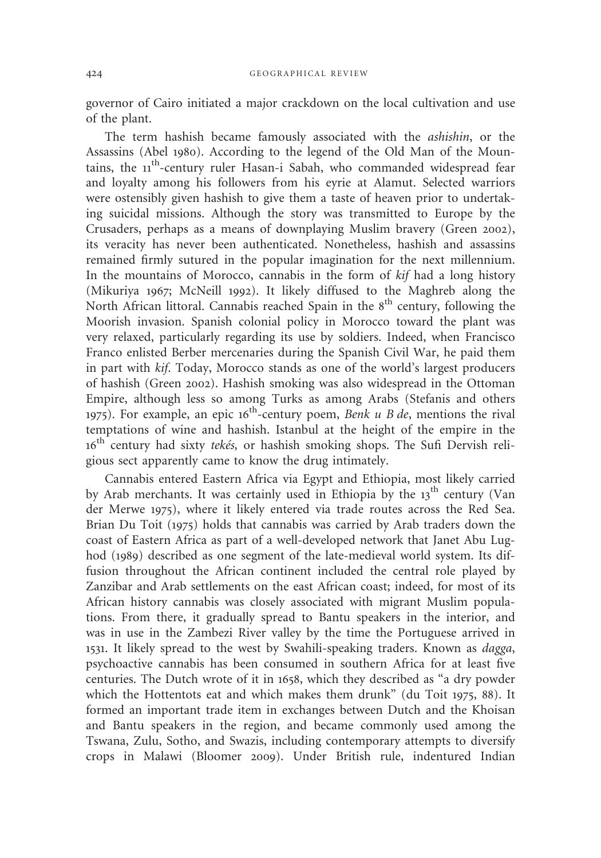governor of Cairo initiated a major crackdown on the local cultivation and use of the plant.

The term hashish became famously associated with the ashishin, or the Assassins (Abel 1980). According to the legend of the Old Man of the Mountains, the 11<sup>th</sup>-century ruler Hasan-i Sabah, who commanded widespread fear and loyalty among his followers from his eyrie at Alamut. Selected warriors were ostensibly given hashish to give them a taste of heaven prior to undertaking suicidal missions. Although the story was transmitted to Europe by the Crusaders, perhaps as a means of downplaying Muslim bravery (Green 2002), its veracity has never been authenticated. Nonetheless, hashish and assassins remained firmly sutured in the popular imagination for the next millennium. In the mountains of Morocco, cannabis in the form of kif had a long history (Mikuriya 1967; McNeill 1992). It likely diffused to the Maghreb along the North African littoral. Cannabis reached Spain in the  $8<sup>th</sup>$  century, following the Moorish invasion. Spanish colonial policy in Morocco toward the plant was very relaxed, particularly regarding its use by soldiers. Indeed, when Francisco Franco enlisted Berber mercenaries during the Spanish Civil War, he paid them in part with kif. Today, Morocco stands as one of the world's largest producers of hashish (Green 2002). Hashish smoking was also widespread in the Ottoman Empire, although less so among Turks as among Arabs (Stefanis and others 1975). For example, an epic 16<sup>th</sup>-century poem, Benk u B de, mentions the rival temptations of wine and hashish. Istanbul at the height of the empire in the 16<sup>th</sup> century had sixty tekés, or hashish smoking shops. The Sufi Dervish religious sect apparently came to know the drug intimately.

Cannabis entered Eastern Africa via Egypt and Ethiopia, most likely carried by Arab merchants. It was certainly used in Ethiopia by the  $13<sup>th</sup>$  century (Van der Merwe 1975), where it likely entered via trade routes across the Red Sea. Brian Du Toit (1975) holds that cannabis was carried by Arab traders down the coast of Eastern Africa as part of a well-developed network that Janet Abu Lughod (1989) described as one segment of the late-medieval world system. Its diffusion throughout the African continent included the central role played by Zanzibar and Arab settlements on the east African coast; indeed, for most of its African history cannabis was closely associated with migrant Muslim populations. From there, it gradually spread to Bantu speakers in the interior, and was in use in the Zambezi River valley by the time the Portuguese arrived in 1531. It likely spread to the west by Swahili-speaking traders. Known as *dagga*, psychoactive cannabis has been consumed in southern Africa for at least five centuries. The Dutch wrote of it in 1658, which they described as "a dry powder which the Hottentots eat and which makes them drunk" (du Toit 1975, 88). It formed an important trade item in exchanges between Dutch and the Khoisan and Bantu speakers in the region, and became commonly used among the Tswana, Zulu, Sotho, and Swazis, including contemporary attempts to diversify crops in Malawi (Bloomer 2009). Under British rule, indentured Indian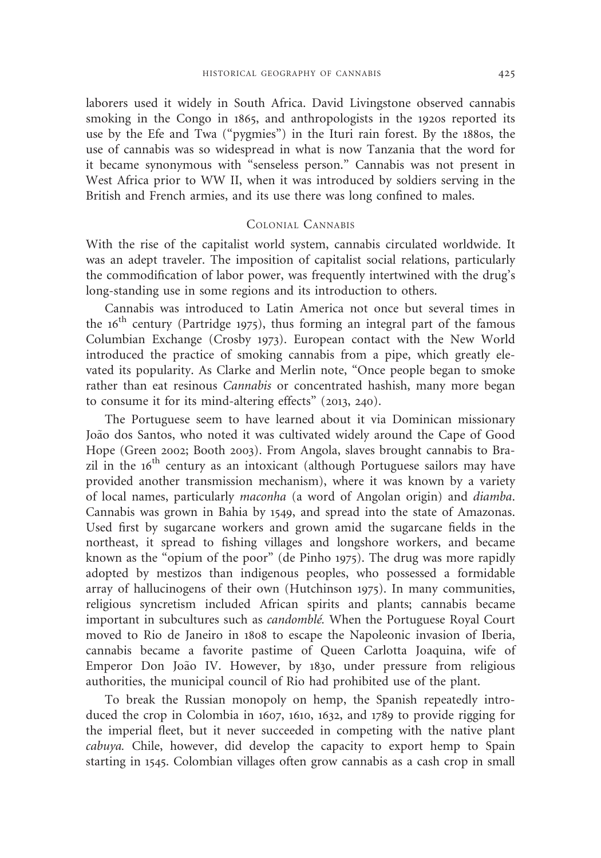laborers used it widely in South Africa. David Livingstone observed cannabis smoking in the Congo in 1865, and anthropologists in the 1920s reported its use by the Efe and Twa ("pygmies") in the Ituri rain forest. By the 1880s, the use of cannabis was so widespread in what is now Tanzania that the word for it became synonymous with "senseless person." Cannabis was not present in West Africa prior to WW II, when it was introduced by soldiers serving in the British and French armies, and its use there was long confined to males.

# COLONIAL CANNABIS

With the rise of the capitalist world system, cannabis circulated worldwide. It was an adept traveler. The imposition of capitalist social relations, particularly the commodification of labor power, was frequently intertwined with the drug's long-standing use in some regions and its introduction to others.

Cannabis was introduced to Latin America not once but several times in the 16<sup>th</sup> century (Partridge 1975), thus forming an integral part of the famous Columbian Exchange (Crosby 1973). European contact with the New World introduced the practice of smoking cannabis from a pipe, which greatly elevated its popularity. As Clarke and Merlin note, "Once people began to smoke rather than eat resinous Cannabis or concentrated hashish, many more began to consume it for its mind-altering effects" (2013, 240).

The Portuguese seem to have learned about it via Dominican missionary João dos Santos, who noted it was cultivated widely around the Cape of Good Hope (Green 2002; Booth 2003). From Angola, slaves brought cannabis to Brazil in the  $16<sup>th</sup>$  century as an intoxicant (although Portuguese sailors may have provided another transmission mechanism), where it was known by a variety of local names, particularly maconha (a word of Angolan origin) and diamba. Cannabis was grown in Bahia by 1549, and spread into the state of Amazonas. Used first by sugarcane workers and grown amid the sugarcane fields in the northeast, it spread to fishing villages and longshore workers, and became known as the "opium of the poor" (de Pinho 1975). The drug was more rapidly adopted by mestizos than indigenous peoples, who possessed a formidable array of hallucinogens of their own (Hutchinson 1975). In many communities, religious syncretism included African spirits and plants; cannabis became important in subcultures such as *candomblé*. When the Portuguese Royal Court moved to Rio de Janeiro in 1808 to escape the Napoleonic invasion of Iberia, cannabis became a favorite pastime of Queen Carlotta Joaquina, wife of Emperor Don João IV. However, by 1830, under pressure from religious authorities, the municipal council of Rio had prohibited use of the plant.

To break the Russian monopoly on hemp, the Spanish repeatedly introduced the crop in Colombia in 1607, 1610, 1632, and 1789 to provide rigging for the imperial fleet, but it never succeeded in competing with the native plant cabuya. Chile, however, did develop the capacity to export hemp to Spain starting in 1545. Colombian villages often grow cannabis as a cash crop in small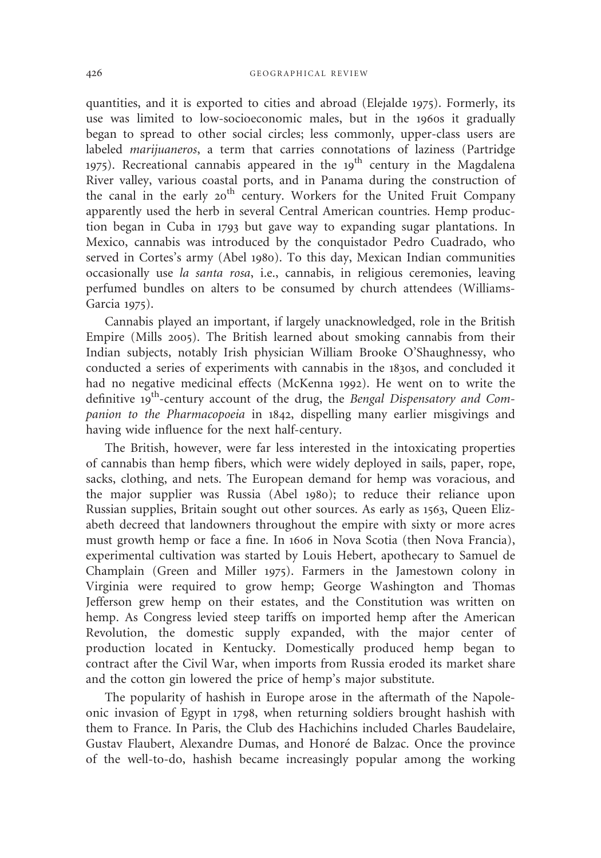quantities, and it is exported to cities and abroad (Elejalde 1975). Formerly, its use was limited to low-socioeconomic males, but in the 1960s it gradually began to spread to other social circles; less commonly, upper-class users are labeled *marijuaneros*, a term that carries connotations of laziness (Partridge 1975). Recreational cannabis appeared in the  $19<sup>th</sup>$  century in the Magdalena River valley, various coastal ports, and in Panama during the construction of the canal in the early 20<sup>th</sup> century. Workers for the United Fruit Company apparently used the herb in several Central American countries. Hemp production began in Cuba in 1793 but gave way to expanding sugar plantations. In Mexico, cannabis was introduced by the conquistador Pedro Cuadrado, who served in Cortes's army (Abel 1980). To this day, Mexican Indian communities occasionally use la santa rosa, i.e., cannabis, in religious ceremonies, leaving perfumed bundles on alters to be consumed by church attendees (Williams-Garcia 1975).

Cannabis played an important, if largely unacknowledged, role in the British Empire (Mills 2005). The British learned about smoking cannabis from their Indian subjects, notably Irish physician William Brooke O'Shaughnessy, who conducted a series of experiments with cannabis in the 1830s, and concluded it had no negative medicinal effects (McKenna 1992). He went on to write the definitive 19<sup>th</sup>-century account of the drug, the Bengal Dispensatory and Companion to the Pharmacopoeia in 1842, dispelling many earlier misgivings and having wide influence for the next half-century.

The British, however, were far less interested in the intoxicating properties of cannabis than hemp fibers, which were widely deployed in sails, paper, rope, sacks, clothing, and nets. The European demand for hemp was voracious, and the major supplier was Russia (Abel 1980); to reduce their reliance upon Russian supplies, Britain sought out other sources. As early as 1563, Queen Elizabeth decreed that landowners throughout the empire with sixty or more acres must growth hemp or face a fine. In 1606 in Nova Scotia (then Nova Francia), experimental cultivation was started by Louis Hebert, apothecary to Samuel de Champlain (Green and Miller 1975). Farmers in the Jamestown colony in Virginia were required to grow hemp; George Washington and Thomas Jefferson grew hemp on their estates, and the Constitution was written on hemp. As Congress levied steep tariffs on imported hemp after the American Revolution, the domestic supply expanded, with the major center of production located in Kentucky. Domestically produced hemp began to contract after the Civil War, when imports from Russia eroded its market share and the cotton gin lowered the price of hemp's major substitute.

The popularity of hashish in Europe arose in the aftermath of the Napoleonic invasion of Egypt in 1798, when returning soldiers brought hashish with them to France. In Paris, the Club des Hachichins included Charles Baudelaire, Gustav Flaubert, Alexandre Dumas, and Honoré de Balzac. Once the province of the well-to-do, hashish became increasingly popular among the working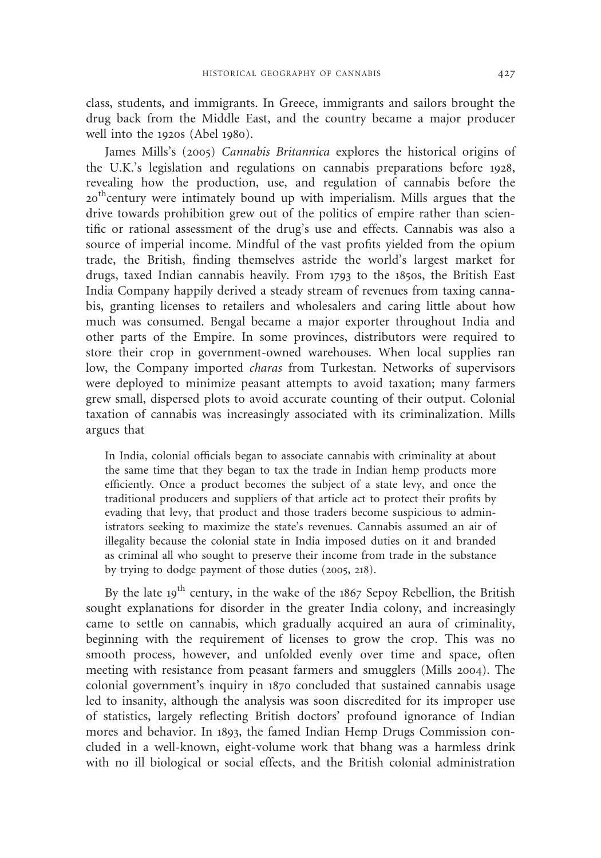class, students, and immigrants. In Greece, immigrants and sailors brought the drug back from the Middle East, and the country became a major producer well into the 1920s (Abel 1980).

James Mills's (2005) Cannabis Britannica explores the historical origins of the U.K.'s legislation and regulations on cannabis preparations before 1928, revealing how the production, use, and regulation of cannabis before the 20<sup>th</sup>century were intimately bound up with imperialism. Mills argues that the drive towards prohibition grew out of the politics of empire rather than scientific or rational assessment of the drug's use and effects. Cannabis was also a source of imperial income. Mindful of the vast profits yielded from the opium trade, the British, finding themselves astride the world's largest market for drugs, taxed Indian cannabis heavily. From 1793 to the 1850s, the British East India Company happily derived a steady stream of revenues from taxing cannabis, granting licenses to retailers and wholesalers and caring little about how much was consumed. Bengal became a major exporter throughout India and other parts of the Empire. In some provinces, distributors were required to store their crop in government-owned warehouses. When local supplies ran low, the Company imported charas from Turkestan. Networks of supervisors were deployed to minimize peasant attempts to avoid taxation; many farmers grew small, dispersed plots to avoid accurate counting of their output. Colonial taxation of cannabis was increasingly associated with its criminalization. Mills argues that

In India, colonial officials began to associate cannabis with criminality at about the same time that they began to tax the trade in Indian hemp products more efficiently. Once a product becomes the subject of a state levy, and once the traditional producers and suppliers of that article act to protect their profits by evading that levy, that product and those traders become suspicious to administrators seeking to maximize the state's revenues. Cannabis assumed an air of illegality because the colonial state in India imposed duties on it and branded as criminal all who sought to preserve their income from trade in the substance by trying to dodge payment of those duties (2005, 218).

By the late 19<sup>th</sup> century, in the wake of the 1867 Sepoy Rebellion, the British sought explanations for disorder in the greater India colony, and increasingly came to settle on cannabis, which gradually acquired an aura of criminality, beginning with the requirement of licenses to grow the crop. This was no smooth process, however, and unfolded evenly over time and space, often meeting with resistance from peasant farmers and smugglers (Mills 2004). The colonial government's inquiry in 1870 concluded that sustained cannabis usage led to insanity, although the analysis was soon discredited for its improper use of statistics, largely reflecting British doctors' profound ignorance of Indian mores and behavior. In 1893, the famed Indian Hemp Drugs Commission concluded in a well-known, eight-volume work that bhang was a harmless drink with no ill biological or social effects, and the British colonial administration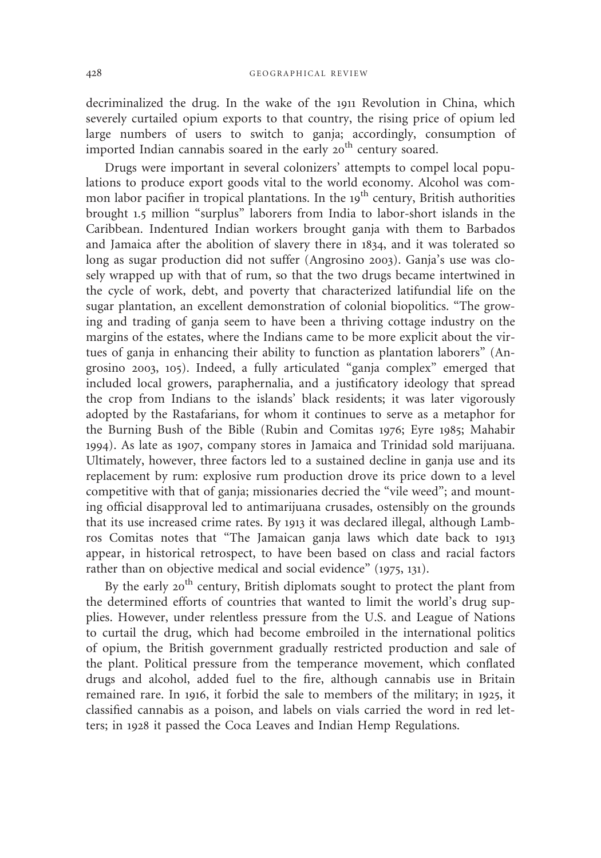decriminalized the drug. In the wake of the 1911 Revolution in China, which severely curtailed opium exports to that country, the rising price of opium led large numbers of users to switch to ganja; accordingly, consumption of imported Indian cannabis soared in the early 20<sup>th</sup> century soared.

Drugs were important in several colonizers' attempts to compel local populations to produce export goods vital to the world economy. Alcohol was common labor pacifier in tropical plantations. In the 19<sup>th</sup> century, British authorities brought 1.5 million "surplus" laborers from India to labor-short islands in the Caribbean. Indentured Indian workers brought ganja with them to Barbados and Jamaica after the abolition of slavery there in 1834, and it was tolerated so long as sugar production did not suffer (Angrosino 2003). Ganja's use was closely wrapped up with that of rum, so that the two drugs became intertwined in the cycle of work, debt, and poverty that characterized latifundial life on the sugar plantation, an excellent demonstration of colonial biopolitics. "The growing and trading of ganja seem to have been a thriving cottage industry on the margins of the estates, where the Indians came to be more explicit about the virtues of ganja in enhancing their ability to function as plantation laborers" (Angrosino 2003, 105). Indeed, a fully articulated "ganja complex" emerged that included local growers, paraphernalia, and a justificatory ideology that spread the crop from Indians to the islands' black residents; it was later vigorously adopted by the Rastafarians, for whom it continues to serve as a metaphor for the Burning Bush of the Bible (Rubin and Comitas 1976; Eyre 1985; Mahabir 1994). As late as 1907, company stores in Jamaica and Trinidad sold marijuana. Ultimately, however, three factors led to a sustained decline in ganja use and its replacement by rum: explosive rum production drove its price down to a level competitive with that of ganja; missionaries decried the "vile weed"; and mounting official disapproval led to antimarijuana crusades, ostensibly on the grounds that its use increased crime rates. By 1913 it was declared illegal, although Lambros Comitas notes that "The Jamaican ganja laws which date back to 1913 appear, in historical retrospect, to have been based on class and racial factors rather than on objective medical and social evidence" (1975, 131).

By the early 20<sup>th</sup> century, British diplomats sought to protect the plant from the determined efforts of countries that wanted to limit the world's drug supplies. However, under relentless pressure from the U.S. and League of Nations to curtail the drug, which had become embroiled in the international politics of opium, the British government gradually restricted production and sale of the plant. Political pressure from the temperance movement, which conflated drugs and alcohol, added fuel to the fire, although cannabis use in Britain remained rare. In 1916, it forbid the sale to members of the military; in 1925, it classified cannabis as a poison, and labels on vials carried the word in red letters; in 1928 it passed the Coca Leaves and Indian Hemp Regulations.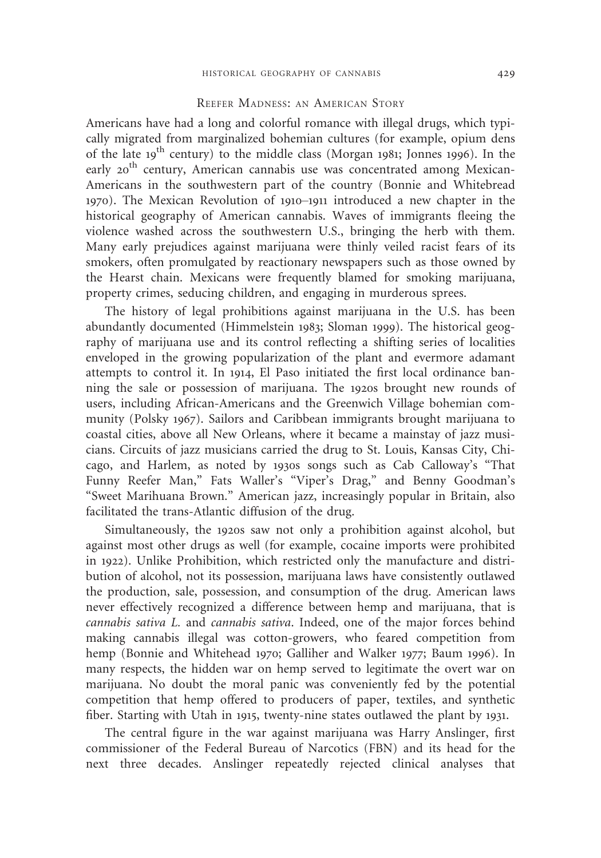# REEFER MADNESS: AN AMERICAN STORY

Americans have had a long and colorful romance with illegal drugs, which typically migrated from marginalized bohemian cultures (for example, opium dens of the late 19<sup>th</sup> century) to the middle class (Morgan 1981; Jonnes 1996). In the early 20<sup>th</sup> century, American cannabis use was concentrated among Mexican-Americans in the southwestern part of the country (Bonnie and Whitebread 1970). The Mexican Revolution of 1910–1911 introduced a new chapter in the historical geography of American cannabis. Waves of immigrants fleeing the violence washed across the southwestern U.S., bringing the herb with them. Many early prejudices against marijuana were thinly veiled racist fears of its smokers, often promulgated by reactionary newspapers such as those owned by the Hearst chain. Mexicans were frequently blamed for smoking marijuana, property crimes, seducing children, and engaging in murderous sprees.

The history of legal prohibitions against marijuana in the U.S. has been abundantly documented (Himmelstein 1983; Sloman 1999). The historical geography of marijuana use and its control reflecting a shifting series of localities enveloped in the growing popularization of the plant and evermore adamant attempts to control it. In 1914, El Paso initiated the first local ordinance banning the sale or possession of marijuana. The 1920s brought new rounds of users, including African-Americans and the Greenwich Village bohemian community (Polsky 1967). Sailors and Caribbean immigrants brought marijuana to coastal cities, above all New Orleans, where it became a mainstay of jazz musicians. Circuits of jazz musicians carried the drug to St. Louis, Kansas City, Chicago, and Harlem, as noted by 1930s songs such as Cab Calloway's "That Funny Reefer Man," Fats Waller's "Viper's Drag," and Benny Goodman's "Sweet Marihuana Brown." American jazz, increasingly popular in Britain, also facilitated the trans-Atlantic diffusion of the drug.

Simultaneously, the 1920s saw not only a prohibition against alcohol, but against most other drugs as well (for example, cocaine imports were prohibited in 1922). Unlike Prohibition, which restricted only the manufacture and distribution of alcohol, not its possession, marijuana laws have consistently outlawed the production, sale, possession, and consumption of the drug. American laws never effectively recognized a difference between hemp and marijuana, that is cannabis sativa L. and cannabis sativa. Indeed, one of the major forces behind making cannabis illegal was cotton-growers, who feared competition from hemp (Bonnie and Whitehead 1970; Galliher and Walker 1977; Baum 1996). In many respects, the hidden war on hemp served to legitimate the overt war on marijuana. No doubt the moral panic was conveniently fed by the potential competition that hemp offered to producers of paper, textiles, and synthetic fiber. Starting with Utah in 1915, twenty-nine states outlawed the plant by 1931.

The central figure in the war against marijuana was Harry Anslinger, first commissioner of the Federal Bureau of Narcotics (FBN) and its head for the next three decades. Anslinger repeatedly rejected clinical analyses that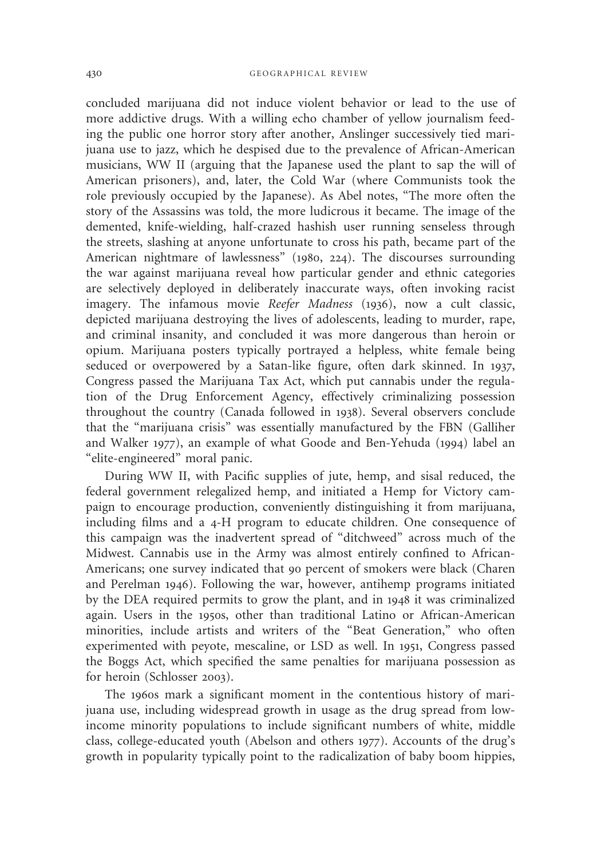concluded marijuana did not induce violent behavior or lead to the use of more addictive drugs. With a willing echo chamber of yellow journalism feeding the public one horror story after another, Anslinger successively tied marijuana use to jazz, which he despised due to the prevalence of African-American musicians, WW II (arguing that the Japanese used the plant to sap the will of American prisoners), and, later, the Cold War (where Communists took the role previously occupied by the Japanese). As Abel notes, "The more often the story of the Assassins was told, the more ludicrous it became. The image of the demented, knife-wielding, half-crazed hashish user running senseless through the streets, slashing at anyone unfortunate to cross his path, became part of the American nightmare of lawlessness" (1980, 224). The discourses surrounding the war against marijuana reveal how particular gender and ethnic categories are selectively deployed in deliberately inaccurate ways, often invoking racist imagery. The infamous movie Reefer Madness (1936), now a cult classic, depicted marijuana destroying the lives of adolescents, leading to murder, rape, and criminal insanity, and concluded it was more dangerous than heroin or opium. Marijuana posters typically portrayed a helpless, white female being seduced or overpowered by a Satan-like figure, often dark skinned. In 1937, Congress passed the Marijuana Tax Act, which put cannabis under the regulation of the Drug Enforcement Agency, effectively criminalizing possession throughout the country (Canada followed in 1938). Several observers conclude that the "marijuana crisis" was essentially manufactured by the FBN (Galliher and Walker 1977), an example of what Goode and Ben-Yehuda (1994) label an "elite-engineered" moral panic.

During WW II, with Pacific supplies of jute, hemp, and sisal reduced, the federal government relegalized hemp, and initiated a Hemp for Victory campaign to encourage production, conveniently distinguishing it from marijuana, including films and a 4-H program to educate children. One consequence of this campaign was the inadvertent spread of "ditchweed" across much of the Midwest. Cannabis use in the Army was almost entirely confined to African-Americans; one survey indicated that 90 percent of smokers were black (Charen and Perelman 1946). Following the war, however, antihemp programs initiated by the DEA required permits to grow the plant, and in 1948 it was criminalized again. Users in the 1950s, other than traditional Latino or African-American minorities, include artists and writers of the "Beat Generation," who often experimented with peyote, mescaline, or LSD as well. In 1951, Congress passed the Boggs Act, which specified the same penalties for marijuana possession as for heroin (Schlosser 2003).

The 1960s mark a significant moment in the contentious history of marijuana use, including widespread growth in usage as the drug spread from lowincome minority populations to include significant numbers of white, middle class, college-educated youth (Abelson and others 1977). Accounts of the drug's growth in popularity typically point to the radicalization of baby boom hippies,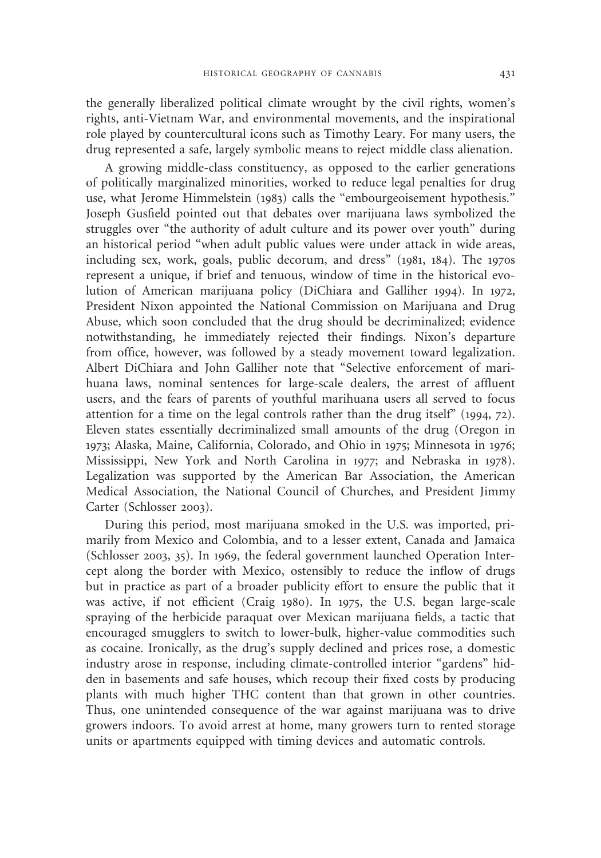the generally liberalized political climate wrought by the civil rights, women's rights, anti-Vietnam War, and environmental movements, and the inspirational role played by countercultural icons such as Timothy Leary. For many users, the drug represented a safe, largely symbolic means to reject middle class alienation.

A growing middle-class constituency, as opposed to the earlier generations of politically marginalized minorities, worked to reduce legal penalties for drug use, what Jerome Himmelstein (1983) calls the "embourgeoisement hypothesis." Joseph Gusfield pointed out that debates over marijuana laws symbolized the struggles over "the authority of adult culture and its power over youth" during an historical period "when adult public values were under attack in wide areas, including sex, work, goals, public decorum, and dress" (1981, 184). The 1970s represent a unique, if brief and tenuous, window of time in the historical evolution of American marijuana policy (DiChiara and Galliher 1994). In 1972, President Nixon appointed the National Commission on Marijuana and Drug Abuse, which soon concluded that the drug should be decriminalized; evidence notwithstanding, he immediately rejected their findings. Nixon's departure from office, however, was followed by a steady movement toward legalization. Albert DiChiara and John Galliher note that "Selective enforcement of marihuana laws, nominal sentences for large-scale dealers, the arrest of affluent users, and the fears of parents of youthful marihuana users all served to focus attention for a time on the legal controls rather than the drug itself" (1994, 72). Eleven states essentially decriminalized small amounts of the drug (Oregon in 1973; Alaska, Maine, California, Colorado, and Ohio in 1975; Minnesota in 1976; Mississippi, New York and North Carolina in 1977; and Nebraska in 1978). Legalization was supported by the American Bar Association, the American Medical Association, the National Council of Churches, and President Jimmy Carter (Schlosser 2003).

During this period, most marijuana smoked in the U.S. was imported, primarily from Mexico and Colombia, and to a lesser extent, Canada and Jamaica (Schlosser 2003, 35). In 1969, the federal government launched Operation Intercept along the border with Mexico, ostensibly to reduce the inflow of drugs but in practice as part of a broader publicity effort to ensure the public that it was active, if not efficient (Craig 1980). In 1975, the U.S. began large-scale spraying of the herbicide paraquat over Mexican marijuana fields, a tactic that encouraged smugglers to switch to lower-bulk, higher-value commodities such as cocaine. Ironically, as the drug's supply declined and prices rose, a domestic industry arose in response, including climate-controlled interior "gardens" hidden in basements and safe houses, which recoup their fixed costs by producing plants with much higher THC content than that grown in other countries. Thus, one unintended consequence of the war against marijuana was to drive growers indoors. To avoid arrest at home, many growers turn to rented storage units or apartments equipped with timing devices and automatic controls.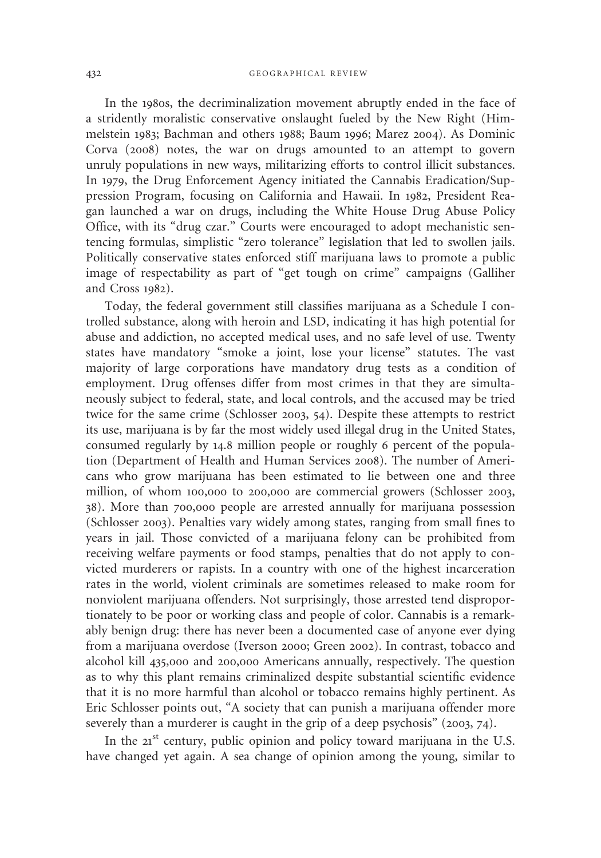In the 1980s, the decriminalization movement abruptly ended in the face of a stridently moralistic conservative onslaught fueled by the New Right (Himmelstein 1983; Bachman and others 1988; Baum 1996; Marez 2004). As Dominic Corva (2008) notes, the war on drugs amounted to an attempt to govern unruly populations in new ways, militarizing efforts to control illicit substances. In 1979, the Drug Enforcement Agency initiated the Cannabis Eradication/Suppression Program, focusing on California and Hawaii. In 1982, President Reagan launched a war on drugs, including the White House Drug Abuse Policy Office, with its "drug czar." Courts were encouraged to adopt mechanistic sentencing formulas, simplistic "zero tolerance" legislation that led to swollen jails. Politically conservative states enforced stiff marijuana laws to promote a public image of respectability as part of "get tough on crime" campaigns (Galliher and Cross 1982).

Today, the federal government still classifies marijuana as a Schedule I controlled substance, along with heroin and LSD, indicating it has high potential for abuse and addiction, no accepted medical uses, and no safe level of use. Twenty states have mandatory "smoke a joint, lose your license" statutes. The vast majority of large corporations have mandatory drug tests as a condition of employment. Drug offenses differ from most crimes in that they are simultaneously subject to federal, state, and local controls, and the accused may be tried twice for the same crime (Schlosser 2003, 54). Despite these attempts to restrict its use, marijuana is by far the most widely used illegal drug in the United States, consumed regularly by 14.8 million people or roughly 6 percent of the population (Department of Health and Human Services 2008). The number of Americans who grow marijuana has been estimated to lie between one and three million, of whom 100,000 to 200,000 are commercial growers (Schlosser 2003, 38). More than 700,000 people are arrested annually for marijuana possession (Schlosser 2003). Penalties vary widely among states, ranging from small fines to years in jail. Those convicted of a marijuana felony can be prohibited from receiving welfare payments or food stamps, penalties that do not apply to convicted murderers or rapists. In a country with one of the highest incarceration rates in the world, violent criminals are sometimes released to make room for nonviolent marijuana offenders. Not surprisingly, those arrested tend disproportionately to be poor or working class and people of color. Cannabis is a remarkably benign drug: there has never been a documented case of anyone ever dying from a marijuana overdose (Iverson 2000; Green 2002). In contrast, tobacco and alcohol kill 435,000 and 200,000 Americans annually, respectively. The question as to why this plant remains criminalized despite substantial scientific evidence that it is no more harmful than alcohol or tobacco remains highly pertinent. As Eric Schlosser points out, "A society that can punish a marijuana offender more severely than a murderer is caught in the grip of a deep psychosis" (2003, 74).

In the  $21<sup>st</sup>$  century, public opinion and policy toward marijuana in the U.S. have changed yet again. A sea change of opinion among the young, similar to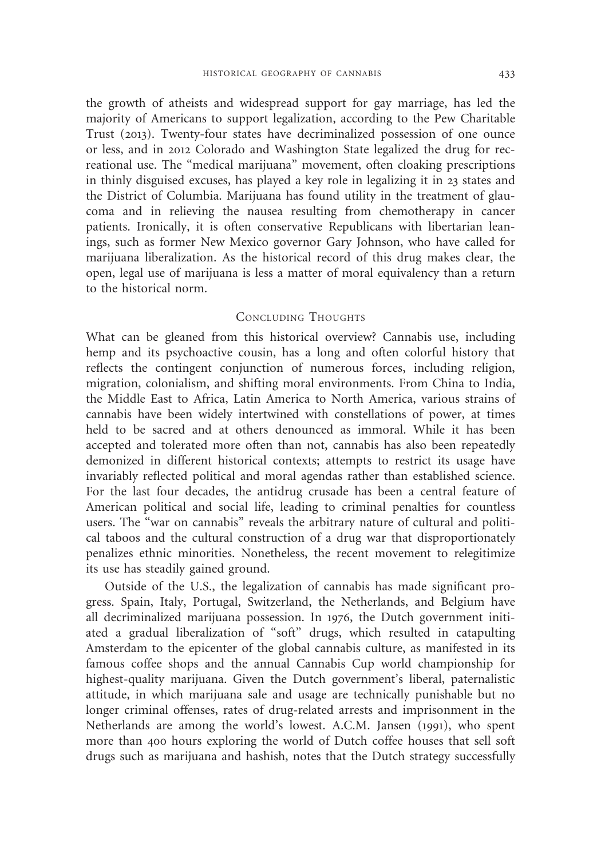the growth of atheists and widespread support for gay marriage, has led the majority of Americans to support legalization, according to the Pew Charitable Trust (2013). Twenty-four states have decriminalized possession of one ounce or less, and in 2012 Colorado and Washington State legalized the drug for recreational use. The "medical marijuana" movement, often cloaking prescriptions in thinly disguised excuses, has played a key role in legalizing it in 23 states and the District of Columbia. Marijuana has found utility in the treatment of glaucoma and in relieving the nausea resulting from chemotherapy in cancer patients. Ironically, it is often conservative Republicans with libertarian leanings, such as former New Mexico governor Gary Johnson, who have called for marijuana liberalization. As the historical record of this drug makes clear, the open, legal use of marijuana is less a matter of moral equivalency than a return to the historical norm.

### CONCLUDING THOUGHTS

What can be gleaned from this historical overview? Cannabis use, including hemp and its psychoactive cousin, has a long and often colorful history that reflects the contingent conjunction of numerous forces, including religion, migration, colonialism, and shifting moral environments. From China to India, the Middle East to Africa, Latin America to North America, various strains of cannabis have been widely intertwined with constellations of power, at times held to be sacred and at others denounced as immoral. While it has been accepted and tolerated more often than not, cannabis has also been repeatedly demonized in different historical contexts; attempts to restrict its usage have invariably reflected political and moral agendas rather than established science. For the last four decades, the antidrug crusade has been a central feature of American political and social life, leading to criminal penalties for countless users. The "war on cannabis" reveals the arbitrary nature of cultural and political taboos and the cultural construction of a drug war that disproportionately penalizes ethnic minorities. Nonetheless, the recent movement to relegitimize its use has steadily gained ground.

Outside of the U.S., the legalization of cannabis has made significant progress. Spain, Italy, Portugal, Switzerland, the Netherlands, and Belgium have all decriminalized marijuana possession. In 1976, the Dutch government initiated a gradual liberalization of "soft" drugs, which resulted in catapulting Amsterdam to the epicenter of the global cannabis culture, as manifested in its famous coffee shops and the annual Cannabis Cup world championship for highest-quality marijuana. Given the Dutch government's liberal, paternalistic attitude, in which marijuana sale and usage are technically punishable but no longer criminal offenses, rates of drug-related arrests and imprisonment in the Netherlands are among the world's lowest. A.C.M. Jansen (1991), who spent more than 400 hours exploring the world of Dutch coffee houses that sell soft drugs such as marijuana and hashish, notes that the Dutch strategy successfully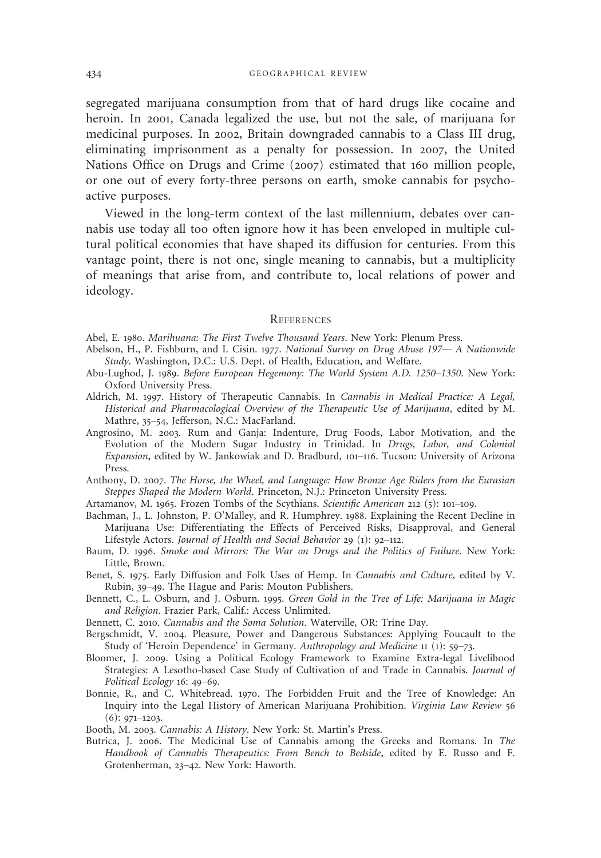segregated marijuana consumption from that of hard drugs like cocaine and heroin. In 2001, Canada legalized the use, but not the sale, of marijuana for medicinal purposes. In 2002, Britain downgraded cannabis to a Class III drug, eliminating imprisonment as a penalty for possession. In 2007, the United Nations Office on Drugs and Crime (2007) estimated that 160 million people, or one out of every forty-three persons on earth, smoke cannabis for psychoactive purposes.

Viewed in the long-term context of the last millennium, debates over cannabis use today all too often ignore how it has been enveloped in multiple cultural political economies that have shaped its diffusion for centuries. From this vantage point, there is not one, single meaning to cannabis, but a multiplicity of meanings that arise from, and contribute to, local relations of power and ideology.

#### **REFERENCES**

- Abel, E. 1980. Marihuana: The First Twelve Thousand Years. New York: Plenum Press.
- Abelson, H., P. Fishburn, and I. Cisin. 1977. National Survey on Drug Abuse 197— A Nationwide Study. Washington, D.C.: U.S. Dept. of Health, Education, and Welfare.
- Abu-Lughod, J. 1989. Before European Hegemony: The World System A.D. 1250–1350. New York: Oxford University Press.
- Aldrich, M. 1997. History of Therapeutic Cannabis. In Cannabis in Medical Practice: A Legal, Historical and Pharmacological Overview of the Therapeutic Use of Marijuana, edited by M. Mathre, 35–54, Jefferson, N.C.: MacFarland.
- Angrosino, M. 2003. Rum and Ganja: Indenture, Drug Foods, Labor Motivation, and the Evolution of the Modern Sugar Industry in Trinidad. In Drugs, Labor, and Colonial Expansion, edited by W. Jankowiak and D. Bradburd, 101–116. Tucson: University of Arizona Press.
- Anthony, D. 2007. The Horse, the Wheel, and Language: How Bronze Age Riders from the Eurasian Steppes Shaped the Modern World. Princeton, N.J.: Princeton University Press.
- Artamanov, M. 1965. Frozen Tombs of the Scythians. Scientific American 212 (5): 101–109.
- Bachman, J., L. Johnston, P. O'Malley, and R. Humphrey. 1988. Explaining the Recent Decline in Marijuana Use: Differentiating the Effects of Perceived Risks, Disapproval, and General Lifestyle Actors. Journal of Health and Social Behavior 29 (1): 92–112.
- Baum, D. 1996. Smoke and Mirrors: The War on Drugs and the Politics of Failure. New York: Little, Brown.
- Benet, S. 1975. Early Diffusion and Folk Uses of Hemp. In Cannabis and Culture, edited by V. Rubin, 39–49. The Hague and Paris: Mouton Publishers.
- Bennett, C., L. Osburn, and J. Osburn. 1995. Green Gold in the Tree of Life: Marijuana in Magic and Religion. Frazier Park, Calif.: Access Unlimited.
- Bennett, C. 2010. Cannabis and the Soma Solution. Waterville, OR: Trine Day.
- Bergschmidt, V. 2004. Pleasure, Power and Dangerous Substances: Applying Foucault to the Study of 'Heroin Dependence' in Germany. Anthropology and Medicine 11 (1): 59–73.
- Bloomer, J. 2009. Using a Political Ecology Framework to Examine Extra-legal Livelihood Strategies: A Lesotho-based Case Study of Cultivation of and Trade in Cannabis. Journal of Political Ecology 16: 49–69.
- Bonnie, R., and C. Whitebread. 1970. The Forbidden Fruit and the Tree of Knowledge: An Inquiry into the Legal History of American Marijuana Prohibition. Virginia Law Review 56  $(6)$ : 971–1203.
- Booth, M. 2003. Cannabis: A History. New York: St. Martin's Press.
- Butrica, J. 2006. The Medicinal Use of Cannabis among the Greeks and Romans. In The Handbook of Cannabis Therapeutics: From Bench to Bedside, edited by E. Russo and F. Grotenherman, 23–42. New York: Haworth.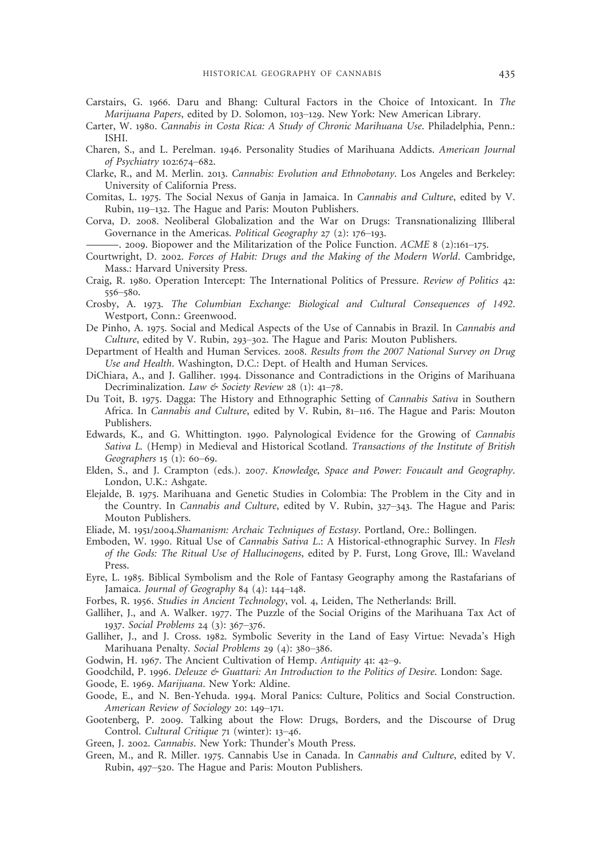- Carstairs, G. 1966. Daru and Bhang: Cultural Factors in the Choice of Intoxicant. In The Marijuana Papers, edited by D. Solomon, 103–129. New York: New American Library.
- Carter, W. 1980. Cannabis in Costa Rica: A Study of Chronic Marihuana Use. Philadelphia, Penn.: ISHI.
- Charen, S., and L. Perelman. 1946. Personality Studies of Marihuana Addicts. American Journal of Psychiatry 102:674–682.
- Clarke, R., and M. Merlin. 2013. Cannabis: Evolution and Ethnobotany. Los Angeles and Berkeley: University of California Press.
- Comitas, L. 1975. The Social Nexus of Ganja in Jamaica. In Cannabis and Culture, edited by V. Rubin, 119–132. The Hague and Paris: Mouton Publishers.
- Corva, D. 2008. Neoliberal Globalization and the War on Drugs: Transnationalizing Illiberal Chatel, of Ps<br>Clarke, R<br>Clarke, R<br>Convitas, R<br>Cover<br>Courtwrig<br>Courtwrig<br>Craig P Governance in the Americas. Political Geography 27 (2): 176–193.
	- . 2009. Biopower and the Militarization of the Police Function. ACME 8 (2):161–175.
	- Courtwright, D. 2002. Forces of Habit: Drugs and the Making of the Modern World. Cambridge, Mass.: Harvard University Press.
	- Craig, R. 1980. Operation Intercept: The International Politics of Pressure. Review of Politics 42: 556–580.
	- Crosby, A. 1973. The Columbian Exchange: Biological and Cultural Consequences of 1492. Westport, Conn.: Greenwood.
	- De Pinho, A. 1975. Social and Medical Aspects of the Use of Cannabis in Brazil. In Cannabis and Culture, edited by V. Rubin, 293–302. The Hague and Paris: Mouton Publishers.
	- Department of Health and Human Services. 2008. Results from the 2007 National Survey on Drug Use and Health. Washington, D.C.: Dept. of Health and Human Services.
	- DiChiara, A., and J. Galliher. 1994. Dissonance and Contradictions in the Origins of Marihuana Decriminalization. Law & Society Review 28 (1): 41–78.
	- Du Toit, B. 1975. Dagga: The History and Ethnographic Setting of Cannabis Sativa in Southern Africa. In Cannabis and Culture, edited by V. Rubin, 81–116. The Hague and Paris: Mouton Publishers.
	- Edwards, K., and G. Whittington. 1990. Palynological Evidence for the Growing of Cannabis Sativa L. (Hemp) in Medieval and Historical Scotland. Transactions of the Institute of British Geographers 15 (1): 60–69.
	- Elden, S., and J. Crampton (eds.). 2007. Knowledge, Space and Power: Foucault and Geography. London, U.K.: Ashgate.
	- Elejalde, B. 1975. Marihuana and Genetic Studies in Colombia: The Problem in the City and in the Country. In Cannabis and Culture, edited by V. Rubin, 327–343. The Hague and Paris: Mouton Publishers.
	- Eliade, M. 1951/2004.Shamanism: Archaic Techniques of Ecstasy. Portland, Ore.: Bollingen.
	- Emboden, W. 1990. Ritual Use of Cannabis Sativa L.: A Historical-ethnographic Survey. In Flesh of the Gods: The Ritual Use of Hallucinogens, edited by P. Furst, Long Grove, Ill.: Waveland Press.

Eyre, L. 1985. Biblical Symbolism and the Role of Fantasy Geography among the Rastafarians of Jamaica. Journal of Geography 84 (4): 144–148.

Forbes, R. 1956. Studies in Ancient Technology, vol. 4, Leiden, The Netherlands: Brill.

- Galliher, J., and A. Walker. 1977. The Puzzle of the Social Origins of the Marihuana Tax Act of 1937. Social Problems 24 (3): 367–376.
- Galliher, J., and J. Cross. 1982. Symbolic Severity in the Land of Easy Virtue: Nevada's High Marihuana Penalty. Social Problems 29 (4): 380–386.

Godwin, H. 1967. The Ancient Cultivation of Hemp. Antiquity 41: 42–9.

Goodchild, P. 1996. Deleuze & Guattari: An Introduction to the Politics of Desire. London: Sage.

Goode, E. 1969. Marijuana. New York: Aldine.

- Goode, E., and N. Ben-Yehuda. 1994. Moral Panics: Culture, Politics and Social Construction. American Review of Sociology 20: 149–171.
- Gootenberg, P. 2009. Talking about the Flow: Drugs, Borders, and the Discourse of Drug Control. Cultural Critique 71 (winter): 13–46.

Green, J. 2002. Cannabis. New York: Thunder's Mouth Press.

Green, M., and R. Miller. 1975. Cannabis Use in Canada. In Cannabis and Culture, edited by V. Rubin, 497–520. The Hague and Paris: Mouton Publishers.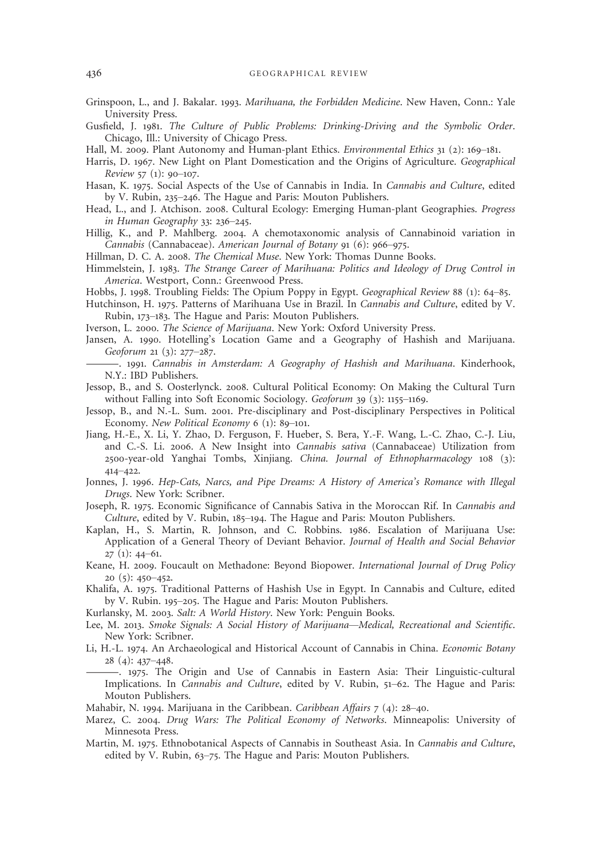- Grinspoon, L., and J. Bakalar. 1993. Marihuana, the Forbidden Medicine. New Haven, Conn.: Yale University Press.
- Gusfield, J. 1981. The Culture of Public Problems: Drinking-Driving and the Symbolic Order. Chicago, Ill.: University of Chicago Press.
- Hall, M. 2009. Plant Autonomy and Human-plant Ethics. Environmental Ethics 31 (2): 169–181.
- Harris, D. 1967. New Light on Plant Domestication and the Origins of Agriculture. Geographical Review 57 (1): 90–107.
- Hasan, K. 1975. Social Aspects of the Use of Cannabis in India. In Cannabis and Culture, edited by V. Rubin, 235–246. The Hague and Paris: Mouton Publishers.
- Head, L., and J. Atchison. 2008. Cultural Ecology: Emerging Human-plant Geographies. Progress in Human Geography 33: 236–245.
- Hillig, K., and P. Mahlberg. 2004. A chemotaxonomic analysis of Cannabinoid variation in Cannabis (Cannabaceae). American Journal of Botany 91 (6): 966–975.
- Hillman, D. C. A. 2008. The Chemical Muse. New York: Thomas Dunne Books.
- Himmelstein, J. 1983. The Strange Career of Marihuana: Politics and Ideology of Drug Control in America. Westport, Conn.: Greenwood Press.
- Hobbs, J. 1998. Troubling Fields: The Opium Poppy in Egypt. Geographical Review 88 (1): 64–85.
- Hutchinson, H. 1975. Patterns of Marihuana Use in Brazil. In Cannabis and Culture, edited by V. Rubin, 173–183. The Hague and Paris: Mouton Publishers. *American*<br>Hobbs, J.<br>Hutchins<br>Rubi<br>Iverson, J<br>Jansen, *Leoft*<br>N.Y.:<br>Jessop, B
	- Iverson, L. 2000. The Science of Marijuana. New York: Oxford University Press.
	- Jansen, A. 1990. Hotelling's Location Game and a Geography of Hashish and Marijuana. Geoforum 21 (3): 277–287.
	- . 1991. Cannabis in Amsterdam: A Geography of Hashish and Marihuana. Kinderhook, N.Y.: IBD Publishers.
	- Jessop, B., and S. Oosterlynck. 2008. Cultural Political Economy: On Making the Cultural Turn without Falling into Soft Economic Sociology. Geoforum 39 (3): 1155-1169.
	- Jessop, B., and N.-L. Sum. 2001. Pre-disciplinary and Post-disciplinary Perspectives in Political Economy. New Political Economy 6 (1): 89–101.
	- Jiang, H.-E., X. Li, Y. Zhao, D. Ferguson, F. Hueber, S. Bera, Y.-F. Wang, L.-C. Zhao, C.-J. Liu, and C.-S. Li. 2006. A New Insight into Cannabis sativa (Cannabaceae) Utilization from 2500-year-old Yanghai Tombs, Xinjiang. China. Journal of Ethnopharmacology 108 (3): 414–422.
	- Jonnes, J. 1996. Hep-Cats, Narcs, and Pipe Dreams: A History of America's Romance with Illegal Drugs. New York: Scribner.
	- Joseph, R. 1975. Economic Significance of Cannabis Sativa in the Moroccan Rif. In Cannabis and Culture, edited by V. Rubin, 185–194. The Hague and Paris: Mouton Publishers.
	- Kaplan, H., S. Martin, R. Johnson, and C. Robbins. 1986. Escalation of Marijuana Use: Application of a General Theory of Deviant Behavior. Journal of Health and Social Behavior  $27(1)$ : 44–61.
	- Keane, H. 2009. Foucault on Methadone: Beyond Biopower. International Journal of Drug Policy 20 (5): 450–452.
	- Khalifa, A. 1975. Traditional Patterns of Hashish Use in Egypt. In Cannabis and Culture, edited by V. Rubin. 195–205. The Hague and Paris: Mouton Publishers.
	- Kurlansky, M. 2003. Salt: A World History. New York: Penguin Books.
	- Lee, M. 2013. Smoke Signals: A Social History of Marijuana—Medical, Recreational and Scientific. New York: Scribner.
- Li, H.-L. 1974. An Archaeological and Historical Account of Cannabis in China. Economic Botany 20 (S<br>
Khalifa, 1<br>
by V<br>
Kurlansky<br>
Lee, M. 2<br>
New<br>
Li, H.-L.<br>
28 (4<br>
Impl<br>
Mababir 28 (4): 437–448.
	- . 1975. The Origin and Use of Cannabis in Eastern Asia: Their Linguistic-cultural Implications. In Cannabis and Culture, edited by V. Rubin, 51–62. The Hague and Paris: Mouton Publishers.
- Mahabir, N. 1994. Marijuana in the Caribbean. Caribbean Affairs 7 (4): 28-40.
- Marez, C. 2004. Drug Wars: The Political Economy of Networks. Minneapolis: University of Minnesota Press.
- Martin, M. 1975. Ethnobotanical Aspects of Cannabis in Southeast Asia. In Cannabis and Culture, edited by V. Rubin, 63–75. The Hague and Paris: Mouton Publishers.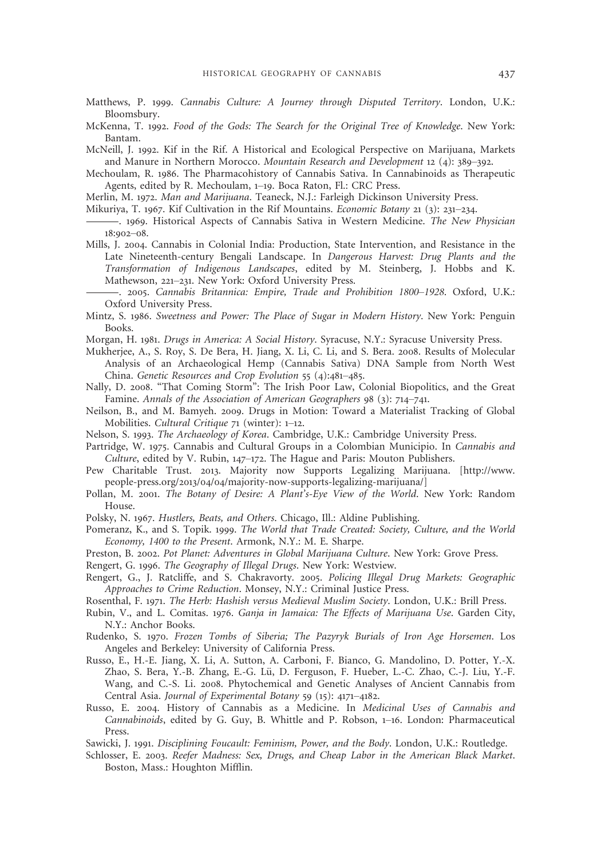- Matthews, P. 1999. Cannabis Culture: A Journey through Disputed Territory. London, U.K.: Bloomsbury.
- McKenna, T. 1992. Food of the Gods: The Search for the Original Tree of Knowledge. New York: Bantam.

McNeill, J. 1992. Kif in the Rif. A Historical and Ecological Perspective on Marijuana, Markets and Manure in Northern Morocco. Mountain Research and Development 12 (4): 389–392.

Mechoulam, R. 1986. The Pharmacohistory of Cannabis Sativa. In Cannabinoids as Therapeutic Agents, edited by R. Mechoulam, 1–19. Boca Raton, Fl.: CRC Press. McKelina<br>Banta<br>McNeill, and l<br>Mechoula<br>Agen<br>Merlin, N.<br>Mikuriya<br>Mills, J.<br>Mills, J.

Merlin, M. 1972. Man and Marijuana. Teaneck, N.J.: Farleigh Dickinson University Press.

Mikuriya, T. 1967. Kif Cultivation in the Rif Mountains. Economic Botany 21 (3): 231–234.

- . 1969. Historical Aspects of Cannabis Sativa in Western Medicine. The New Physician 18:902–08.
- Mills, J. 2004. Cannabis in Colonial India: Production, State Intervention, and Resistance in the Late Nineteenth-century Bengali Landscape. In Dangerous Harvest: Drug Plants and the Transformation of Indigenous Landscapes, edited by M. Steinberg, J. Hobbs and K. Mikuriya<br>
18:90<br>
Mills, J.<br>
18:90<br>
Mills, J.<br>
Late<br>
Tran<br>
Math<br>
Oxfo<br>
Mintz, S.<br>
Rook Mathewson, 221–231. New York: Oxford University Press.
	- . 2005. Cannabis Britannica: Empire, Trade and Prohibition 1800–1928. Oxford, U.K.: Oxford University Press.
	- Mintz, S. 1986. Sweetness and Power: The Place of Sugar in Modern History. New York: Penguin Books.
	- Morgan, H. 1981. Drugs in America: A Social History. Syracuse, N.Y.: Syracuse University Press.
	- Mukherjee, A., S. Roy, S. De Bera, H. Jiang, X. Li, C. Li, and S. Bera. 2008. Results of Molecular Analysis of an Archaeological Hemp (Cannabis Sativa) DNA Sample from North West China. Genetic Resources and Crop Evolution 55 (4):481–485.
- Nally, D. 2008. "That Coming Storm": The Irish Poor Law, Colonial Biopolitics, and the Great Famine. Annals of the Association of American Geographers 98 (3): 714–741.
- Neilson, B., and M. Bamyeh. 2009. Drugs in Motion: Toward a Materialist Tracking of Global Mobilities. Cultural Critique 71 (winter): 1–12.
- Nelson, S. 1993. The Archaeology of Korea. Cambridge, U.K.: Cambridge University Press.
- Partridge, W. 1975. Cannabis and Cultural Groups in a Colombian Municipio. In Cannabis and Culture, edited by V. Rubin, 147–172. The Hague and Paris: Mouton Publishers.
- Pew Charitable Trust. 2013. Majority now Supports Legalizing Marijuana. [http://www. people-press.org/2013/04/04/majority-now-supports-legalizing-marijuana/]
- Pollan, M. 2001. The Botany of Desire: A Plant's-Eye View of the World. New York: Random House.
- Polsky, N. 1967. Hustlers, Beats, and Others. Chicago, Ill.: Aldine Publishing.
- Pomeranz, K., and S. Topik. 1999. The World that Trade Created: Society, Culture, and the World Economy, 1400 to the Present. Armonk, N.Y.: M. E. Sharpe.
- Preston, B. 2002. Pot Planet: Adventures in Global Marijuana Culture. New York: Grove Press.
- Rengert, G. 1996. The Geography of Illegal Drugs. New York: Westview.
- Rengert, G., J. Ratcliffe, and S. Chakravorty. 2005. Policing Illegal Drug Markets: Geographic Approaches to Crime Reduction. Monsey, N.Y.: Criminal Justice Press.
- Rosenthal, F. 1971. The Herb: Hashish versus Medieval Muslim Society. London, U.K.: Brill Press.
- Rubin, V., and L. Comitas. 1976. Ganja in Jamaica: The Effects of Marijuana Use. Garden City, N.Y.: Anchor Books.
- Rudenko, S. 1970. Frozen Tombs of Siberia; The Pazyryk Burials of Iron Age Horsemen. Los Angeles and Berkeley: University of California Press.
- Russo, E., H.-E. Jiang, X. Li, A. Sutton, A. Carboni, F. Bianco, G. Mandolino, D. Potter, Y.-X. Zhao, S. Bera, Y.-B. Zhang, E.-G. Lü, D. Ferguson, F. Hueber, L.-C. Zhao, C.-J. Liu, Y.-F. Wang, and C.-S. Li. 2008. Phytochemical and Genetic Analyses of Ancient Cannabis from Central Asia. Journal of Experimental Botany 59 (15): 4171–4182.
- Russo, E. 2004. History of Cannabis as a Medicine. In Medicinal Uses of Cannabis and Cannabinoids, edited by G. Guy, B. Whittle and P. Robson, 1–16. London: Pharmaceutical Press.

Sawicki, J. 1991. Disciplining Foucault: Feminism, Power, and the Body. London, U.K.: Routledge.

Schlosser, E. 2003. Reefer Madness: Sex, Drugs, and Cheap Labor in the American Black Market. Boston, Mass.: Houghton Mifflin.